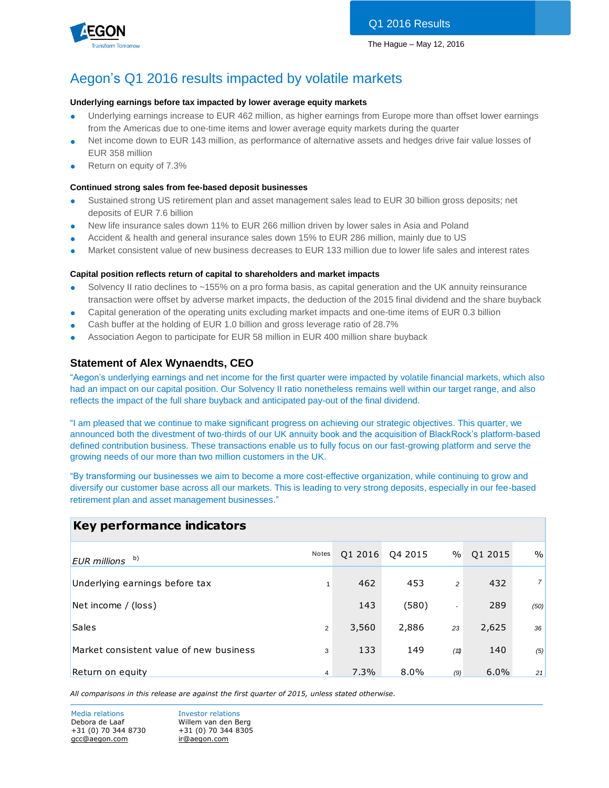



# Aegon's Q1 2016 results impacted by volatile markets

#### **Underlying earnings before tax impacted by lower average equity markets**

- Underlying earnings increase to EUR 462 million, as higher earnings from Europe more than offset lower earnings from the Americas due to one-time items and lower average equity markets during the quarter
- Net income down to EUR 143 million, as performance of alternative assets and hedges drive fair value losses of EUR 358 million
- Return on equity of 7.3%

#### **Continued strong sales from fee-based deposit businesses**

- Sustained strong US retirement plan and asset management sales lead to EUR 30 billion gross deposits; net deposits of EUR 7.6 billion
- New life insurance sales down 11% to EUR 266 million driven by lower sales in Asia and Poland
- Accident & health and general insurance sales down 15% to EUR 286 million, mainly due to US
- Market consistent value of new business decreases to EUR 133 million due to lower life sales and interest rates

#### **Capital position reflects return of capital to shareholders and market impacts**

- Solvency II ratio declines to ~155% on a pro forma basis, as capital generation and the UK annuity reinsurance transaction were offset by adverse market impacts, the deduction of the 2015 final dividend and the share buyback
- Capital generation of the operating units excluding market impacts and one-time items of EUR 0.3 billion
- Cash buffer at the holding of EUR 1.0 billion and gross leverage ratio of 28.7%
- Association Aegon to participate for EUR 58 million in EUR 400 million share buyback

### **Statement of Alex Wynaendts, CEO**

"Aegon's underlying earnings and net income for the first quarter were impacted by volatile financial markets, which also had an impact on our capital position. Our Solvency II ratio nonetheless remains well within our target range, and also reflects the impact of the full share buyback and anticipated pay-out of the final dividend.

"I am pleased that we continue to make significant progress on achieving our strategic objectives. This quarter, we announced both the divestment of two-thirds of our UK annuity book and the acquisition of BlackRock's platform-based defined contribution business. These transactions enable us to fully focus on our fast-growing platform and serve the growing needs of our more than two million customers in the UK.

"By transforming our businesses we aim to become a more cost-effective organization, while continuing to grow and diversify our customer base across all our markets. This is leading to very strong deposits, especially in our fee-based retirement plan and asset management businesses."

# **Key performance indicators**

| b)<br><b>EUR</b> millions               | Notes          | 01 2016 | Q4 2015 | $\%$                     | Q1 2015 | $\frac{0}{0}$  |
|-----------------------------------------|----------------|---------|---------|--------------------------|---------|----------------|
| Underlying earnings before tax          |                | 462     | 453     | $\overline{c}$           | 432     | $\overline{7}$ |
| Net income / (loss)                     |                | 143     | (580)   | $\overline{\phantom{a}}$ | 289     | (50)           |
| <b>Sales</b>                            | $\overline{2}$ | 3,560   | 2,886   | 23                       | 2,625   | 36             |
| Market consistent value of new business | 3              | 133     | 149     | (11)                     | 140     | (5)            |
| Return on equity                        | 4              | 7.3%    | $8.0\%$ | (9)                      | 6.0%    | 21             |

*All comparisons in this release are against the first quarter of 2015, unless stated otherwise.*

Media relations **Investor relations** Debora de Laaf Willem van den Berg +31 (0) 70 344 8730 +31 (0) 70 344 8305 [gcc@aegon.com](mailto:gcc@aegon.com) [ir@aegon.com](mailto:ir@aegon.com)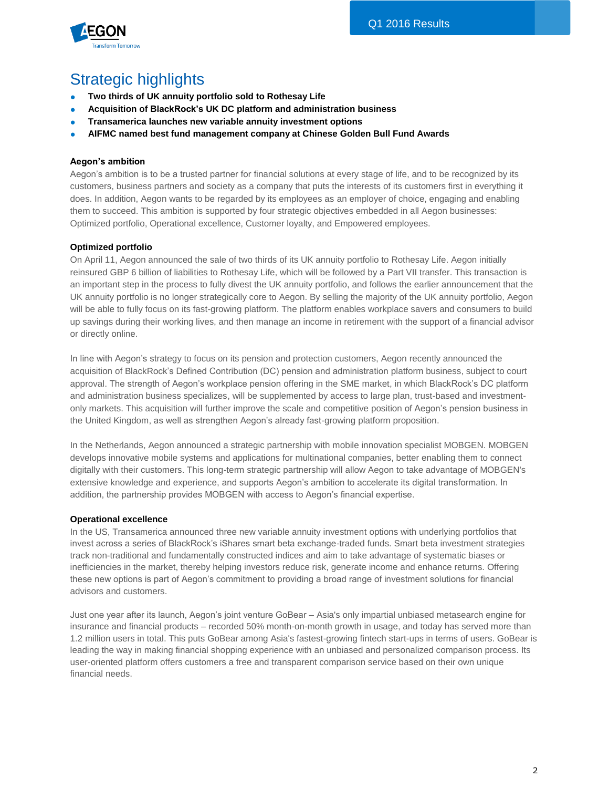

# Strategic highlights

- **Two thirds of UK annuity portfolio sold to Rothesay Life**
- **Acquisition of BlackRock's UK DC platform and administration business**
- **Transamerica launches new variable annuity investment options**
- **AIFMC named best fund management company at Chinese Golden Bull Fund Awards**

### **Aegon's ambition**

Aegon's ambition is to be a trusted partner for financial solutions at every stage of life, and to be recognized by its customers, business partners and society as a company that puts the interests of its customers first in everything it does. In addition, Aegon wants to be regarded by its employees as an employer of choice, engaging and enabling them to succeed. This ambition is supported by four strategic objectives embedded in all Aegon businesses: Optimized portfolio, Operational excellence, Customer loyalty, and Empowered employees.

#### **Optimized portfolio**

On April 11, Aegon announced the sale of two thirds of its UK annuity portfolio to Rothesay Life. Aegon initially reinsured GBP 6 billion of liabilities to Rothesay Life, which will be followed by a Part VII transfer. This transaction is an important step in the process to fully divest the UK annuity portfolio, and follows the earlier announcement that the UK annuity portfolio is no longer strategically core to Aegon. By selling the majority of the UK annuity portfolio, Aegon will be able to fully focus on its fast-growing platform. The platform enables workplace savers and consumers to build up savings during their working lives, and then manage an income in retirement with the support of a financial advisor or directly online.

In line with Aegon's strategy to focus on its pension and protection customers, Aegon recently announced the acquisition of BlackRock's Defined Contribution (DC) pension and administration platform business, subject to court approval. The strength of Aegon's workplace pension offering in the SME market, in which BlackRock's DC platform and administration business specializes, will be supplemented by access to large plan, trust-based and investmentonly markets. This acquisition will further improve the scale and competitive position of Aegon's pension business in the United Kingdom, as well as strengthen Aegon's already fast-growing platform proposition.

In the Netherlands, Aegon announced a strategic partnership with mobile innovation specialist MOBGEN. MOBGEN develops innovative mobile systems and applications for multinational companies, better enabling them to connect digitally with their customers. This long-term strategic partnership will allow Aegon to take advantage of MOBGEN's extensive knowledge and experience, and supports Aegon's ambition to accelerate its digital transformation. In addition, the partnership provides MOBGEN with access to Aegon's financial expertise.

#### **Operational excellence**

In the US, Transamerica announced three new variable annuity investment options with underlying portfolios that invest across a series of BlackRock's iShares smart beta exchange-traded funds. Smart beta investment strategies track non-traditional and fundamentally constructed indices and aim to take advantage of systematic biases or inefficiencies in the market, thereby helping investors reduce risk, generate income and enhance returns. Offering these new options is part of Aegon's commitment to providing a broad range of investment solutions for financial advisors and customers.

Just one year after its launch, Aegon's joint venture GoBear – Asia's only impartial unbiased metasearch engine for insurance and financial products – recorded 50% month-on-month growth in usage, and today has served more than 1.2 million users in total. This puts GoBear among Asia's fastest-growing fintech start-ups in terms of users. GoBear is leading the way in making financial shopping experience with an unbiased and personalized comparison process. Its user-oriented platform offers customers a free and transparent comparison service based on their own unique financial needs.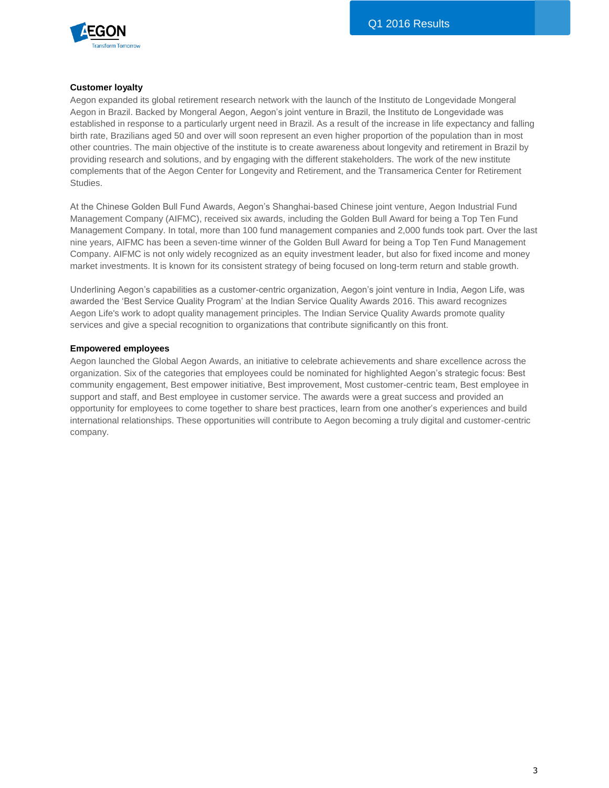

#### **Customer loyalty**

Aegon expanded its global retirement research network with the launch of the Instituto de Longevidade Mongeral Aegon in Brazil. Backed by Mongeral Aegon, Aegon's joint venture in Brazil, the Instituto de Longevidade was established in response to a particularly urgent need in Brazil. As a result of the increase in life expectancy and falling birth rate, Brazilians aged 50 and over will soon represent an even higher proportion of the population than in most other countries. The main objective of the institute is to create awareness about longevity and retirement in Brazil by providing research and solutions, and by engaging with the different stakeholders. The work of the new institute complements that of the Aegon Center for Longevity and Retirement, and the Transamerica Center for Retirement Studies.

At the Chinese Golden Bull Fund Awards, Aegon's Shanghai-based Chinese joint venture, Aegon Industrial Fund Management Company (AIFMC), received six awards, including the Golden Bull Award for being a Top Ten Fund Management Company. In total, more than 100 fund management companies and 2,000 funds took part. Over the last nine years, AIFMC has been a seven-time winner of the Golden Bull Award for being a Top Ten Fund Management Company. AIFMC is not only widely recognized as an equity investment leader, but also for fixed income and money market investments. It is known for its consistent strategy of being focused on long-term return and stable growth.

Underlining Aegon's capabilities as a customer-centric organization, Aegon's joint venture in India, Aegon Life, was awarded the 'Best Service Quality Program' at the Indian Service Quality Awards 2016. This award recognizes Aegon Life's work to adopt quality management principles. The Indian Service Quality Awards promote quality services and give a special recognition to organizations that contribute significantly on this front.

#### **Empowered employees**

Aegon launched the Global Aegon Awards, an initiative to celebrate achievements and share excellence across the organization. Six of the categories that employees could be nominated for highlighted Aegon's strategic focus: Best community engagement, Best empower initiative, Best improvement, Most customer-centric team, Best employee in support and staff, and Best employee in customer service. The awards were a great success and provided an opportunity for employees to come together to share best practices, learn from one another's experiences and build international relationships. These opportunities will contribute to Aegon becoming a truly digital and customer-centric company.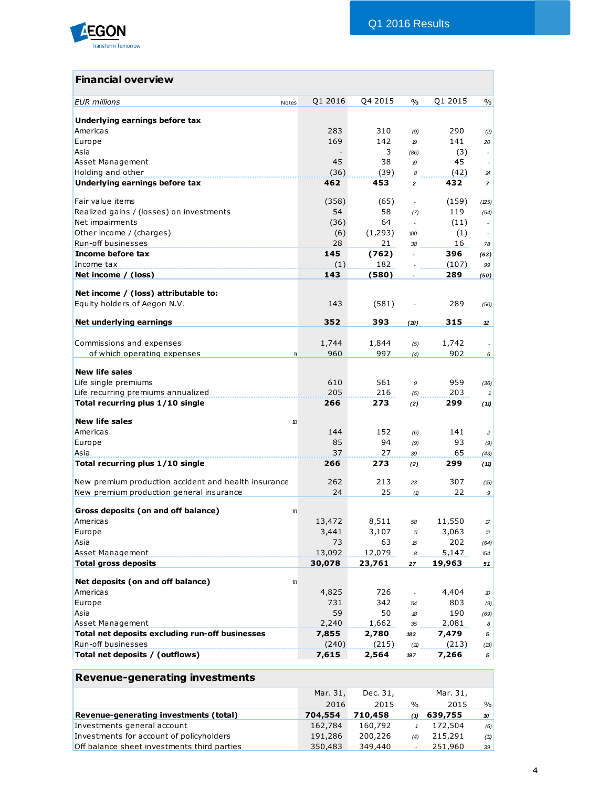

# **Financial overview**

| <b>EUR</b> millions<br>Notes                                         | Q1 2016 | Q4 2015  | $\%$           | Q1 2015 | $\%$                     |
|----------------------------------------------------------------------|---------|----------|----------------|---------|--------------------------|
| Underlying earnings before tax                                       |         |          |                |         |                          |
| Americas                                                             | 283     | 310      | (9)            | 290     | (2)                      |
| Europe                                                               | 169     | 142      | 19             | 141     | 20                       |
| Asia                                                                 |         | 3        | (86)           | (3)     |                          |
| Asset Management                                                     | 45      | 38       | 19             | 45      |                          |
| Holding and other                                                    | (36)    | (39)     | 8              | (42)    | 14                       |
| Underlying earnings before tax                                       | 462     | 453      | $\overline{a}$ | 432     | $\overline{7}$           |
| Fair value items                                                     | (358)   | (65)     |                | (159)   | (25)                     |
| Realized gains / (losses) on investments                             | 54      | 58       | (7)            | 119     | (54)                     |
| Net impairments                                                      | (36)    | 64       | ÷.             | (11)    |                          |
| Other income / (charges)                                             | (6)     | (1, 293) | 100            | (1)     | $\overline{\phantom{a}}$ |
| Run-off businesses                                                   | 28      | 21       | 38             | 16      | 78                       |
| Income before tax                                                    | 145     | (762)    | $\overline{a}$ | 396     | (63)                     |
| Income tax                                                           | (1)     | 182      |                | (107)   | 99                       |
| Net income / (loss)                                                  | 143     | (580)    |                | 289     | (50)                     |
|                                                                      |         |          |                |         |                          |
| Net income / (loss) attributable to:<br>Equity holders of Aegon N.V. | 143     | (581)    |                | 289     | (50)                     |
| Net underlying earnings                                              | 352     | 393      | (10)           | 315     | 12                       |
|                                                                      |         |          |                |         |                          |
| Commissions and expenses                                             | 1,744   | 1,844    | (5)            | 1,742   |                          |
| of which operating expenses<br>9                                     | 960     | 997      | (4)            | 902     | 6                        |
|                                                                      |         |          |                |         |                          |
| <b>New life sales</b>                                                |         |          |                |         |                          |
| Life single premiums                                                 | 610     | 561      | 9              | 959     | (36)                     |
| Life recurring premiums annualized                                   | 205     | 216      | (5)            | 203     | $\mathbf{1}$             |
| Total recurring plus 1/10 single                                     | 266     | 273      | (2)            | 299     | (11)                     |
| <b>New life sales</b><br>10                                          |         |          |                |         |                          |
| Americas                                                             | 144     | 152      | (6)            | 141     | $\overline{c}$           |
| Europe                                                               | 85      | 94       | (9)            | 93      | (9)                      |
| Asia                                                                 | 37      | 27       | 39             | 65      | (43)                     |
| Total recurring plus 1/10 single                                     | 266     | 273      | (2)            | 299     | (11)                     |
| New premium production accident and health insurance                 | 262     | 213      | 23             | 307     | (15)                     |
| New premium production general insurance                             | 24      | 25       | (1)            | 22      | 9                        |
| Gross deposits (on and off balance)<br>10                            |         |          |                |         |                          |
| Americas                                                             | 13,472  | 8,511    | 58             | 11,550  | $\sqrt{\pi}$             |
| Europe                                                               | 3,441   | 3,107    | 11             | 3,063   | 12                       |
| Asia                                                                 | 73      | 63       | 15             | 202     | (64)                     |
| Asset Management                                                     | 13,092  | 12,079   | 8              | 5,147   | 154                      |
| <b>Total gross deposits</b>                                          | 30,078  | 23,761   | 27             | 19,963  | 51                       |
|                                                                      |         |          |                |         |                          |
| Net deposits (on and off balance)<br>10                              |         |          |                |         |                          |
| Americas                                                             | 4,825   | 726      |                | 4,404   | 10                       |
| Europe                                                               | 731     | 342      | 114            | 803     | (9)                      |
| Asia                                                                 | 59      | 50       | 18             | 190     | (69)                     |
| Asset Management                                                     | 2,240   | 1,662    | 35             | 2,081   | 8                        |
| Total net deposits excluding run-off businesses                      | 7,855   | 2,780    | 183            | 7,479   | 5                        |
| Run-off businesses                                                   | (240)   | (215)    | (11)           | (213)   | (13)                     |
| Total net deposits / (outflows)                                      | 7,615   | 2,564    | 197            | 7,266   | 5                        |
|                                                                      |         |          |                |         |                          |
| Revenue-generating investments                                       |         |          |                |         |                          |

|         | Dec. 31, |               | Mar. 31, |               |
|---------|----------|---------------|----------|---------------|
| 2016    | 2015     | $\frac{0}{0}$ | 2015     | $\frac{0}{0}$ |
| 704,554 | 710,458  | (1)           | 639,755  | 10            |
| 162,784 | 160,792  |               | 172,504  | (6)           |
| 191,286 | 200,226  | (4)           | 215,291  | (11)          |
| 350,483 | 349,440  |               | 251,960  | 39            |
|         |          | Mar. 31,      |          |               |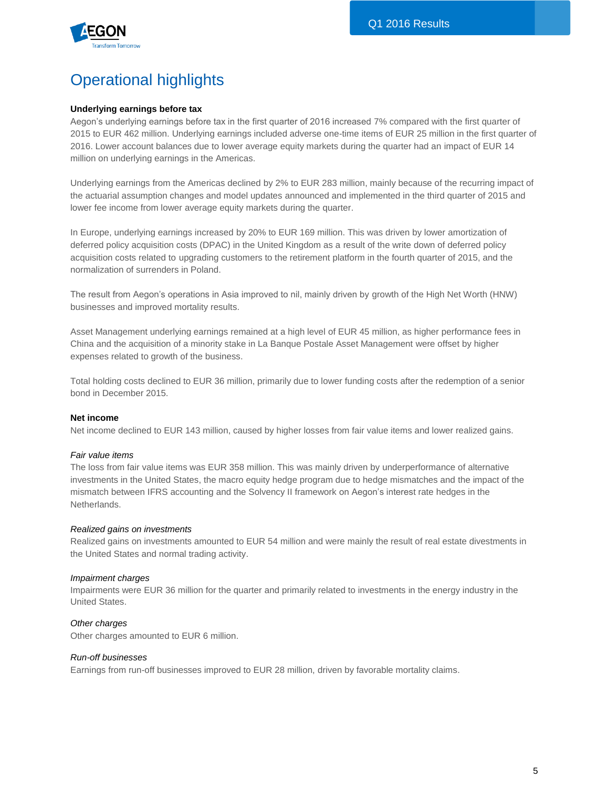

# Operational highlights

### **Underlying earnings before tax**

Aegon's underlying earnings before tax in the first quarter of 2016 increased 7% compared with the first quarter of 2015 to EUR 462 million. Underlying earnings included adverse one-time items of EUR 25 million in the first quarter of 2016. Lower account balances due to lower average equity markets during the quarter had an impact of EUR 14 million on underlying earnings in the Americas.

Underlying earnings from the Americas declined by 2% to EUR 283 million, mainly because of the recurring impact of the actuarial assumption changes and model updates announced and implemented in the third quarter of 2015 and lower fee income from lower average equity markets during the quarter.

In Europe, underlying earnings increased by 20% to EUR 169 million. This was driven by lower amortization of deferred policy acquisition costs (DPAC) in the United Kingdom as a result of the write down of deferred policy acquisition costs related to upgrading customers to the retirement platform in the fourth quarter of 2015, and the normalization of surrenders in Poland.

The result from Aegon's operations in Asia improved to nil, mainly driven by growth of the High Net Worth (HNW) businesses and improved mortality results.

Asset Management underlying earnings remained at a high level of EUR 45 million, as higher performance fees in China and the acquisition of a minority stake in La Banque Postale Asset Management were offset by higher expenses related to growth of the business.

Total holding costs declined to EUR 36 million, primarily due to lower funding costs after the redemption of a senior bond in December 2015.

#### **Net income**

Net income declined to EUR 143 million, caused by higher losses from fair value items and lower realized gains.

#### *Fair value items*

The loss from fair value items was EUR 358 million. This was mainly driven by underperformance of alternative investments in the United States, the macro equity hedge program due to hedge mismatches and the impact of the mismatch between IFRS accounting and the Solvency II framework on Aegon's interest rate hedges in the Netherlands.

#### *Realized gains on investments*

Realized gains on investments amounted to EUR 54 million and were mainly the result of real estate divestments in the United States and normal trading activity.

#### *Impairment charges*

Impairments were EUR 36 million for the quarter and primarily related to investments in the energy industry in the United States.

#### *Other charges*

Other charges amounted to EUR 6 million.

## *Run-off businesses*

Earnings from run-off businesses improved to EUR 28 million, driven by favorable mortality claims.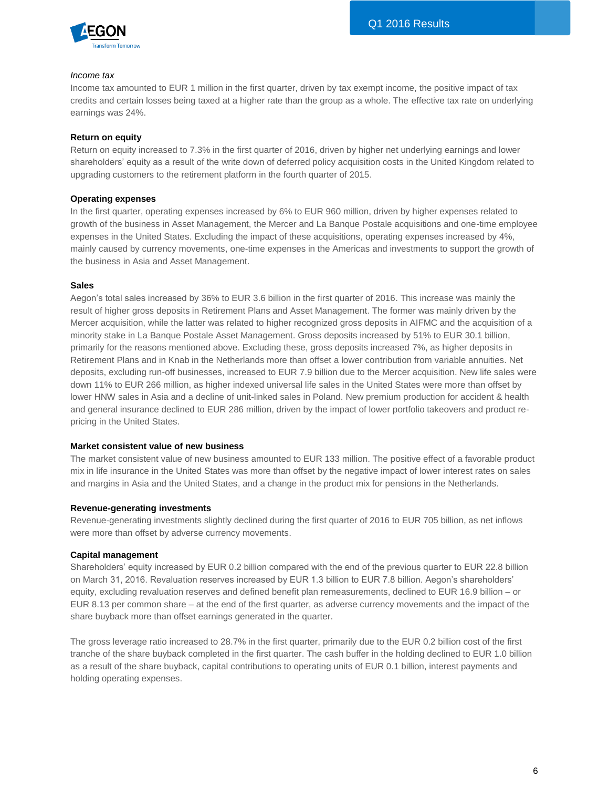

#### *Income tax*

Income tax amounted to EUR 1 million in the first quarter, driven by tax exempt income, the positive impact of tax credits and certain losses being taxed at a higher rate than the group as a whole. The effective tax rate on underlying earnings was 24%.

#### **Return on equity**

Return on equity increased to 7.3% in the first quarter of 2016, driven by higher net underlying earnings and lower shareholders' equity as a result of the write down of deferred policy acquisition costs in the United Kingdom related to upgrading customers to the retirement platform in the fourth quarter of 2015.

#### **Operating expenses**

In the first quarter, operating expenses increased by 6% to EUR 960 million, driven by higher expenses related to growth of the business in Asset Management, the Mercer and La Banque Postale acquisitions and one-time employee expenses in the United States. Excluding the impact of these acquisitions, operating expenses increased by 4%, mainly caused by currency movements, one-time expenses in the Americas and investments to support the growth of the business in Asia and Asset Management.

#### **Sales**

Aegon's total sales increased by 36% to EUR 3.6 billion in the first quarter of 2016. This increase was mainly the result of higher gross deposits in Retirement Plans and Asset Management. The former was mainly driven by the Mercer acquisition, while the latter was related to higher recognized gross deposits in AIFMC and the acquisition of a minority stake in La Banque Postale Asset Management. Gross deposits increased by 51% to EUR 30.1 billion, primarily for the reasons mentioned above. Excluding these, gross deposits increased 7%, as higher deposits in Retirement Plans and in Knab in the Netherlands more than offset a lower contribution from variable annuities. Net deposits, excluding run-off businesses, increased to EUR 7.9 billion due to the Mercer acquisition. New life sales were down 11% to EUR 266 million, as higher indexed universal life sales in the United States were more than offset by lower HNW sales in Asia and a decline of unit-linked sales in Poland. New premium production for accident & health and general insurance declined to EUR 286 million, driven by the impact of lower portfolio takeovers and product repricing in the United States.

### **Market consistent value of new business**

The market consistent value of new business amounted to EUR 133 million. The positive effect of a favorable product mix in life insurance in the United States was more than offset by the negative impact of lower interest rates on sales and margins in Asia and the United States, and a change in the product mix for pensions in the Netherlands.

#### **Revenue-generating investments**

Revenue-generating investments slightly declined during the first quarter of 2016 to EUR 705 billion, as net inflows were more than offset by adverse currency movements.

### **Capital management**

Shareholders' equity increased by EUR 0.2 billion compared with the end of the previous quarter to EUR 22.8 billion on March 31, 2016. Revaluation reserves increased by EUR 1.3 billion to EUR 7.8 billion. Aegon's shareholders' equity, excluding revaluation reserves and defined benefit plan remeasurements, declined to EUR 16.9 billion – or EUR 8.13 per common share – at the end of the first quarter, as adverse currency movements and the impact of the share buyback more than offset earnings generated in the quarter.

The gross leverage ratio increased to 28.7% in the first quarter, primarily due to the EUR 0.2 billion cost of the first tranche of the share buyback completed in the first quarter. The cash buffer in the holding declined to EUR 1.0 billion as a result of the share buyback, capital contributions to operating units of EUR 0.1 billion, interest payments and holding operating expenses.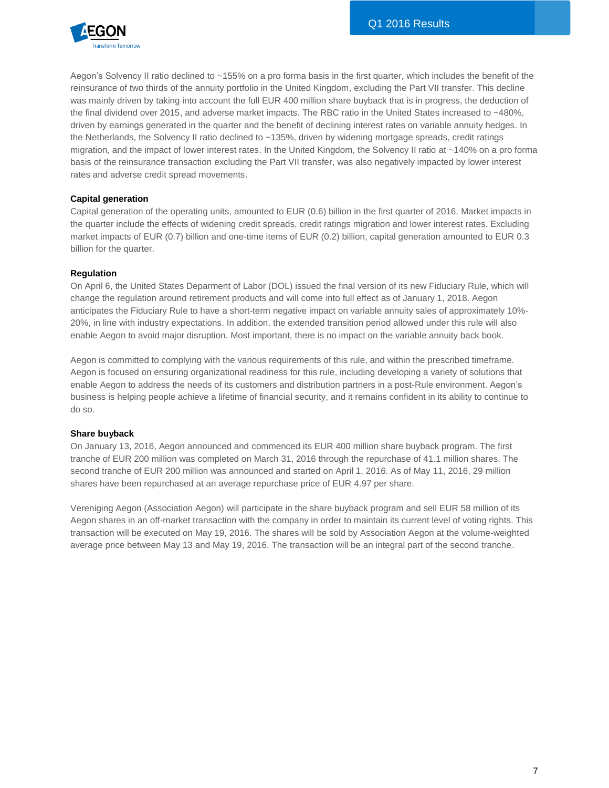

Aegon's Solvency II ratio declined to ~155% on a pro forma basis in the first quarter, which includes the benefit of the reinsurance of two thirds of the annuity portfolio in the United Kingdom, excluding the Part VII transfer. This decline was mainly driven by taking into account the full EUR 400 million share buyback that is in progress, the deduction of the final dividend over 2015, and adverse market impacts. The RBC ratio in the United States increased to ~480%, driven by earnings generated in the quarter and the benefit of declining interest rates on variable annuity hedges. In the Netherlands, the Solvency II ratio declined to ~135%, driven by widening mortgage spreads, credit ratings migration, and the impact of lower interest rates. In the United Kingdom, the Solvency II ratio at ~140% on a pro forma basis of the reinsurance transaction excluding the Part VII transfer, was also negatively impacted by lower interest rates and adverse credit spread movements.

### **Capital generation**

Capital generation of the operating units, amounted to EUR (0.6) billion in the first quarter of 2016. Market impacts in the quarter include the effects of widening credit spreads, credit ratings migration and lower interest rates. Excluding market impacts of EUR (0.7) billion and one-time items of EUR (0.2) billion, capital generation amounted to EUR 0.3 billion for the quarter.

### **Regulation**

On April 6, the United States Deparment of Labor (DOL) issued the final version of its new Fiduciary Rule, which will change the regulation around retirement products and will come into full effect as of January 1, 2018. Aegon anticipates the Fiduciary Rule to have a short-term negative impact on variable annuity sales of approximately 10%- 20%, in line with industry expectations. In addition, the extended transition period allowed under this rule will also enable Aegon to avoid major disruption. Most important, there is no impact on the variable annuity back book.

Aegon is committed to complying with the various requirements of this rule, and within the prescribed timeframe. Aegon is focused on ensuring organizational readiness for this rule, including developing a variety of solutions that enable Aegon to address the needs of its customers and distribution partners in a post-Rule environment. Aegon's business is helping people achieve a lifetime of financial security, and it remains confident in its ability to continue to do so.

### **Share buyback**

On January 13, 2016, Aegon announced and commenced its EUR 400 million share buyback program. The first tranche of EUR 200 million was completed on March 31, 2016 through the repurchase of 41.1 million shares. The second tranche of EUR 200 million was announced and started on April 1, 2016. As of May 11, 2016, 29 million shares have been repurchased at an average repurchase price of EUR 4.97 per share.

Vereniging Aegon (Association Aegon) will participate in the share buyback program and sell EUR 58 million of its Aegon shares in an off-market transaction with the company in order to maintain its current level of voting rights. This transaction will be executed on May 19, 2016. The shares will be sold by Association Aegon at the volume-weighted average price between May 13 and May 19, 2016. The transaction will be an integral part of the second tranche.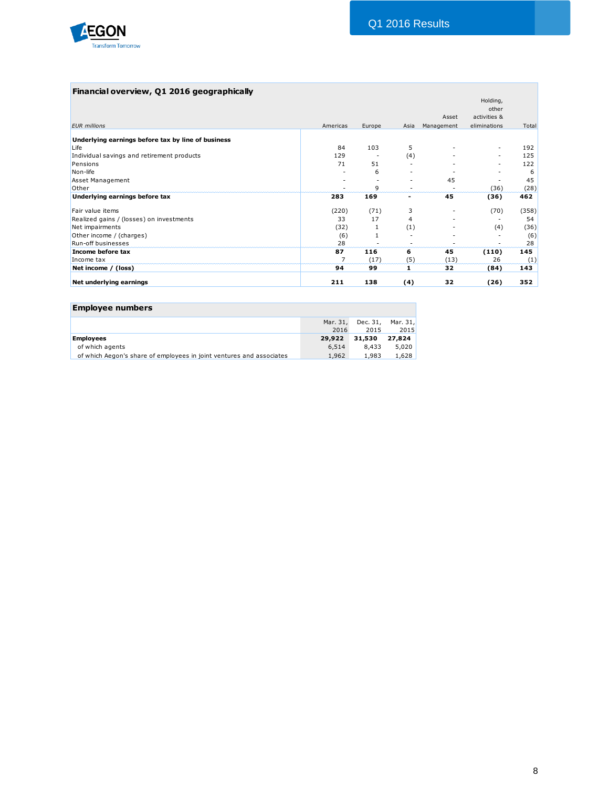

### **Financial overview, Q1 2016 geographically**

| Europe<br>103<br>51<br>6<br>Q<br>169<br>(71)<br>17<br>1<br>116<br>(17)<br>99 | 5<br>(4)<br>3<br>4<br>(1)<br>6<br>(5)<br>1 | 45<br>45<br>45<br>(13)<br>32 | ٠<br>(36)<br>(36)<br>(70)<br>(4)<br>(110)<br>26<br>(84) | 192<br>125<br>122<br>6<br>45<br>(28)<br>462<br>(358)<br>54<br>(36)<br>(6)<br>28<br>145<br>(1)<br>143 |
|------------------------------------------------------------------------------|--------------------------------------------|------------------------------|---------------------------------------------------------|------------------------------------------------------------------------------------------------------|
|                                                                              |                                            |                              |                                                         |                                                                                                      |
|                                                                              |                                            |                              |                                                         |                                                                                                      |
|                                                                              |                                            |                              |                                                         |                                                                                                      |
|                                                                              |                                            |                              |                                                         |                                                                                                      |
|                                                                              |                                            |                              |                                                         |                                                                                                      |
|                                                                              |                                            |                              |                                                         |                                                                                                      |
|                                                                              |                                            |                              |                                                         |                                                                                                      |
|                                                                              |                                            |                              |                                                         |                                                                                                      |
|                                                                              |                                            |                              |                                                         |                                                                                                      |
|                                                                              |                                            |                              |                                                         |                                                                                                      |
|                                                                              |                                            |                              |                                                         |                                                                                                      |
|                                                                              |                                            |                              |                                                         |                                                                                                      |
|                                                                              |                                            |                              |                                                         |                                                                                                      |
|                                                                              |                                            |                              |                                                         |                                                                                                      |
|                                                                              |                                            |                              |                                                         |                                                                                                      |
|                                                                              | Asia                                       | Management                   | eliminations                                            | Total                                                                                                |
|                                                                              |                                            | Asset                        | activities &                                            |                                                                                                      |
|                                                                              |                                            |                              | Holding,<br>other                                       |                                                                                                      |
|                                                                              |                                            |                              |                                                         |                                                                                                      |

| <b>Employee numbers</b>                                              |                  |        |                           |
|----------------------------------------------------------------------|------------------|--------|---------------------------|
|                                                                      | Mar. 31,<br>2016 | 2015   | Dec. 31, Mar. 31,<br>2015 |
| <b>Employees</b>                                                     | 29,922           | 31,530 | 27.824                    |
| of which agents                                                      | 6,514            | 8.433  | 5.020                     |
| of which Aegon's share of employees in joint ventures and associates | 1,962            | 1,983  | 1,628                     |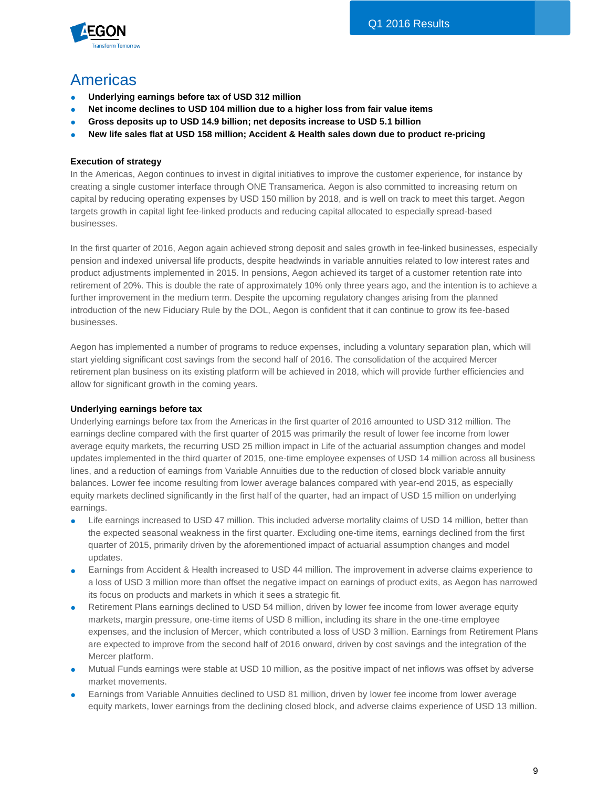

# Americas

- **Underlying earnings before tax of USD 312 million**
- Net income declines to USD 104 million due to a higher loss from fair value items
- **Gross deposits up to USD 14.9 billion; net deposits increase to USD 5.1 billion**
- **New life sales flat at USD 158 million; Accident & Health sales down due to product re-pricing**

### **Execution of strategy**

In the Americas, Aegon continues to invest in digital initiatives to improve the customer experience, for instance by creating a single customer interface through ONE Transamerica. Aegon is also committed to increasing return on capital by reducing operating expenses by USD 150 million by 2018, and is well on track to meet this target. Aegon targets growth in capital light fee-linked products and reducing capital allocated to especially spread-based businesses.

In the first quarter of 2016, Aegon again achieved strong deposit and sales growth in fee-linked businesses, especially pension and indexed universal life products, despite headwinds in variable annuities related to low interest rates and product adjustments implemented in 2015. In pensions, Aegon achieved its target of a customer retention rate into retirement of 20%. This is double the rate of approximately 10% only three years ago, and the intention is to achieve a further improvement in the medium term. Despite the upcoming regulatory changes arising from the planned introduction of the new Fiduciary Rule by the DOL, Aegon is confident that it can continue to grow its fee-based businesses.

Aegon has implemented a number of programs to reduce expenses, including a voluntary separation plan, which will start yielding significant cost savings from the second half of 2016. The consolidation of the acquired Mercer retirement plan business on its existing platform will be achieved in 2018, which will provide further efficiencies and allow for significant growth in the coming years.

### **Underlying earnings before tax**

Underlying earnings before tax from the Americas in the first quarter of 2016 amounted to USD 312 million. The earnings decline compared with the first quarter of 2015 was primarily the result of lower fee income from lower average equity markets, the recurring USD 25 million impact in Life of the actuarial assumption changes and model updates implemented in the third quarter of 2015, one-time employee expenses of USD 14 million across all business lines, and a reduction of earnings from Variable Annuities due to the reduction of closed block variable annuity balances. Lower fee income resulting from lower average balances compared with year-end 2015, as especially equity markets declined significantly in the first half of the quarter, had an impact of USD 15 million on underlying earnings.

- Life earnings increased to USD 47 million. This included adverse mortality claims of USD 14 million, better than the expected seasonal weakness in the first quarter. Excluding one-time items, earnings declined from the first quarter of 2015, primarily driven by the aforementioned impact of actuarial assumption changes and model updates.
- Earnings from Accident & Health increased to USD 44 million. The improvement in adverse claims experience to a loss of USD 3 million more than offset the negative impact on earnings of product exits, as Aegon has narrowed its focus on products and markets in which it sees a strategic fit.
- Retirement Plans earnings declined to USD 54 million, driven by lower fee income from lower average equity markets, margin pressure, one-time items of USD 8 million, including its share in the one-time employee expenses, and the inclusion of Mercer, which contributed a loss of USD 3 million. Earnings from Retirement Plans are expected to improve from the second half of 2016 onward, driven by cost savings and the integration of the Mercer platform.
- Mutual Funds earnings were stable at USD 10 million, as the positive impact of net inflows was offset by adverse market movements.
- Earnings from Variable Annuities declined to USD 81 million, driven by lower fee income from lower average equity markets, lower earnings from the declining closed block, and adverse claims experience of USD 13 million.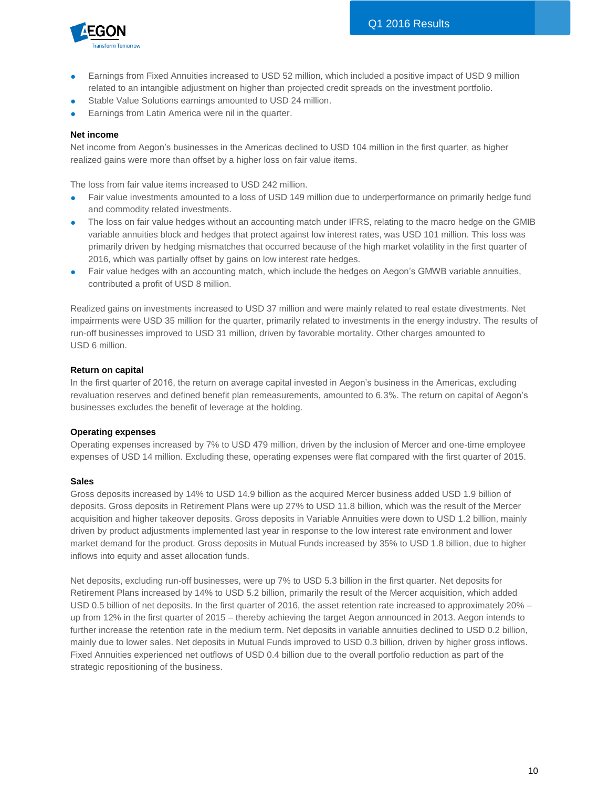

- Earnings from Fixed Annuities increased to USD 52 million, which included a positive impact of USD 9 million related to an intangible adjustment on higher than projected credit spreads on the investment portfolio.
- Stable Value Solutions earnings amounted to USD 24 million.
- Earnings from Latin America were nil in the quarter.

#### **Net income**

Net income from Aegon's businesses in the Americas declined to USD 104 million in the first quarter, as higher realized gains were more than offset by a higher loss on fair value items.

The loss from fair value items increased to USD 242 million.

- Fair value investments amounted to a loss of USD 149 million due to underperformance on primarily hedge fund and commodity related investments.
- The loss on fair value hedges without an accounting match under IFRS, relating to the macro hedge on the GMIB variable annuities block and hedges that protect against low interest rates, was USD 101 million. This loss was primarily driven by hedging mismatches that occurred because of the high market volatility in the first quarter of 2016, which was partially offset by gains on low interest rate hedges.
- Fair value hedges with an accounting match, which include the hedges on Aegon's GMWB variable annuities, contributed a profit of USD 8 million.

Realized gains on investments increased to USD 37 million and were mainly related to real estate divestments. Net impairments were USD 35 million for the quarter, primarily related to investments in the energy industry. The results of run-off businesses improved to USD 31 million, driven by favorable mortality. Other charges amounted to USD 6 million.

#### **Return on capital**

In the first quarter of 2016, the return on average capital invested in Aegon's business in the Americas, excluding revaluation reserves and defined benefit plan remeasurements, amounted to 6.3%. The return on capital of Aegon's businesses excludes the benefit of leverage at the holding.

#### **Operating expenses**

Operating expenses increased by 7% to USD 479 million, driven by the inclusion of Mercer and one-time employee expenses of USD 14 million. Excluding these, operating expenses were flat compared with the first quarter of 2015.

#### **Sales**

Gross deposits increased by 14% to USD 14.9 billion as the acquired Mercer business added USD 1.9 billion of deposits. Gross deposits in Retirement Plans were up 27% to USD 11.8 billion, which was the result of the Mercer acquisition and higher takeover deposits. Gross deposits in Variable Annuities were down to USD 1.2 billion, mainly driven by product adjustments implemented last year in response to the low interest rate environment and lower market demand for the product. Gross deposits in Mutual Funds increased by 35% to USD 1.8 billion, due to higher inflows into equity and asset allocation funds.

Net deposits, excluding run-off businesses, were up 7% to USD 5.3 billion in the first quarter. Net deposits for Retirement Plans increased by 14% to USD 5.2 billion, primarily the result of the Mercer acquisition, which added USD 0.5 billion of net deposits. In the first quarter of 2016, the asset retention rate increased to approximately 20% – up from 12% in the first quarter of 2015 – thereby achieving the target Aegon announced in 2013. Aegon intends to further increase the retention rate in the medium term. Net deposits in variable annuities declined to USD 0.2 billion, mainly due to lower sales. Net deposits in Mutual Funds improved to USD 0.3 billion, driven by higher gross inflows. Fixed Annuities experienced net outflows of USD 0.4 billion due to the overall portfolio reduction as part of the strategic repositioning of the business.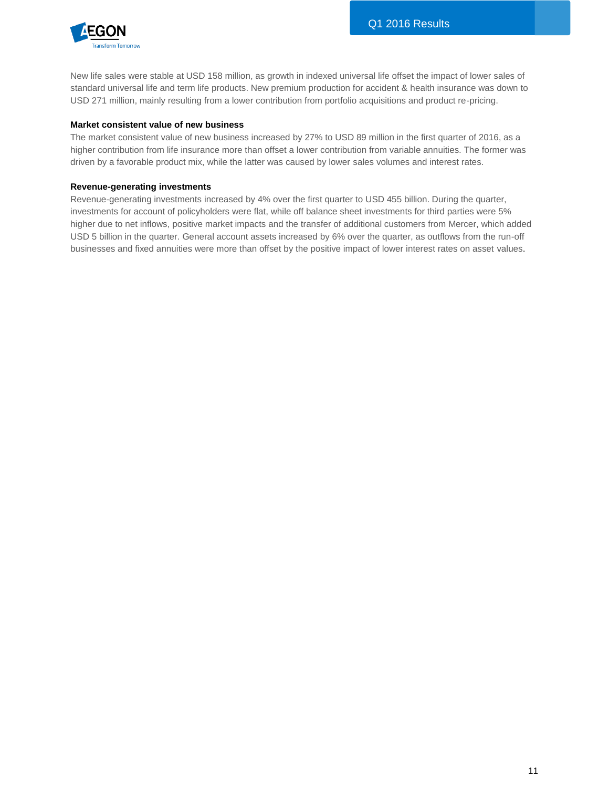

New life sales were stable at USD 158 million, as growth in indexed universal life offset the impact of lower sales of standard universal life and term life products. New premium production for accident & health insurance was down to USD 271 million, mainly resulting from a lower contribution from portfolio acquisitions and product re-pricing.

#### **Market consistent value of new business**

The market consistent value of new business increased by 27% to USD 89 million in the first quarter of 2016, as a higher contribution from life insurance more than offset a lower contribution from variable annuities. The former was driven by a favorable product mix, while the latter was caused by lower sales volumes and interest rates.

#### **Revenue-generating investments**

Revenue-generating investments increased by 4% over the first quarter to USD 455 billion. During the quarter, investments for account of policyholders were flat, while off balance sheet investments for third parties were 5% higher due to net inflows, positive market impacts and the transfer of additional customers from Mercer, which added USD 5 billion in the quarter. General account assets increased by 6% over the quarter, as outflows from the run-off businesses and fixed annuities were more than offset by the positive impact of lower interest rates on asset values.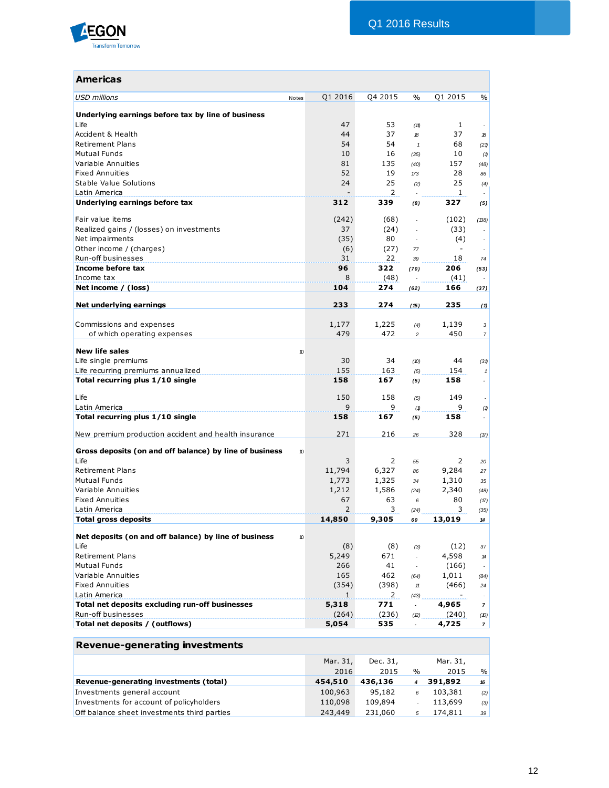

| <b>Americas</b>                                               |                |                |                |                          |                          |
|---------------------------------------------------------------|----------------|----------------|----------------|--------------------------|--------------------------|
| <b>USD millions</b><br>Notes                                  | Q1 2016        | Q4 2015        | $\frac{0}{0}$  | Q1 2015                  | $\frac{0}{0}$            |
| Underlying earnings before tax by line of business            |                |                |                |                          |                          |
| Life                                                          | 47             | 53             | (11)           | $\mathbf{1}$             |                          |
| Accident & Health                                             | 44             | 37             | $\mathcal{B}$  | 37                       | 18                       |
| <b>Retirement Plans</b>                                       | 54             | 54             | $\mathbf{1}$   | 68                       | (21)                     |
| <b>Mutual Funds</b>                                           | 10             | 16             | (35)           | 10                       | (1)                      |
| Variable Annuities                                            | 81             | 135            | (40)           | 157                      | (48)                     |
| <b>Fixed Annuities</b>                                        | 52             | 19             | 173            | 28                       | 86                       |
| Stable Value Solutions                                        | 24             | 25             | (2)            | 25                       | (4)                      |
| Latin America                                                 |                | $\overline{2}$ |                | $\mathbf{1}$             |                          |
| Underlying earnings before tax                                | 312            | 339            | (8)            | 327                      | (5)                      |
| Fair value items                                              | (242)          | (68)           |                | (102)                    | (138)                    |
| Realized gains / (losses) on investments                      | 37             | (24)           |                | (33)                     |                          |
| Net impairments                                               | (35)           | 80             |                | (4)                      |                          |
| Other income / (charges)                                      | (6)            | (27)           | 77             | $\overline{\phantom{a}}$ |                          |
| Run-off businesses                                            | 31             | 22             | 39             | 18                       | 74                       |
| Income before tax                                             | 96             | 322            | (70)           | 206                      | (53)                     |
| Income tax                                                    | 8              | (48)           |                | (41)                     |                          |
| Net income / (loss)                                           | 104            | 274            | (62)           | 166                      | (37)                     |
|                                                               |                |                |                |                          |                          |
| Net underlying earnings                                       | 233            | 274            | (15)           | 235                      | (1)                      |
| Commissions and expenses                                      | 1,177          | 1,225          | (4)            | 1,139                    | 3                        |
| of which operating expenses                                   | 479            | 472            | $\overline{c}$ | 450                      | $\overline{7}$           |
|                                                               |                |                |                |                          |                          |
| <b>New life sales</b><br>10                                   |                |                |                |                          |                          |
| Life single premiums                                          | 30             | 34             | (D)            | 44                       | (31)                     |
| Life recurring premiums annualized                            | 155            | 163            | (5)            | 154                      | $\mathbf{1}$             |
| Total recurring plus 1/10 single                              | 158            | 167            | (5)            | 158                      |                          |
| Life                                                          | 150            | 158            | (5)            | 149                      |                          |
| Latin America                                                 | 9              | 9              | (1)            | 9                        | (1)                      |
| Total recurring plus 1/10 single                              | 158            | 167            | (5)            | 158                      | $\blacksquare$           |
| New premium production accident and health insurance          | 271            | 216            | 26             | 328                      | (17)                     |
| Gross deposits (on and off balance) by line of business<br>10 |                |                |                |                          |                          |
| Life                                                          | 3              | 2              | 55             | 2                        | 20                       |
| <b>Retirement Plans</b>                                       | 11,794         | 6,327          | 86             | 9,284                    | 27                       |
| <b>Mutual Funds</b>                                           | 1,773          | 1,325          | 34             | 1,310                    | 35                       |
| Variable Annuities                                            | 1,212          | 1,586          | (24)           | 2,340                    | (48)                     |
| <b>Fixed Annuities</b>                                        | 67             | 63             | 6              | 80                       | (17)                     |
| Latin America                                                 | $\overline{2}$ | 3              | (24)           | 3                        | (35)                     |
| <b>Total gross deposits</b>                                   | 14,850         | 9,305          | 60             | 13,019                   | 14                       |
| Net deposits (on and off balance) by line of business<br>10   |                |                |                |                          |                          |
| Life                                                          | (8)            | (8)            | (3)            | (12)                     | 37                       |
| <b>Retirement Plans</b>                                       | 5,249          | 671            |                | 4,598                    | $14$                     |
| <b>Mutual Funds</b>                                           | 266            | 41             | $\epsilon$     | (166)                    | $\overline{\phantom{a}}$ |
| Variable Annuities                                            | 165            | 462            | (64)           | 1,011                    | (84)                     |
| <b>Fixed Annuities</b>                                        | (354)          | (398)          | $11\,$         | (466)                    | 24                       |
| Latin America                                                 | 1              | 2              | (43)           |                          |                          |
| Total net deposits excluding run-off businesses               | 5,318          | 771            | $\blacksquare$ | 4,965                    | $\overline{7}$           |
| Run-off businesses                                            | (264)          | (236)          | (2)            | (240)                    | (10)                     |
| Total net deposits / (outflows)                               | 5,054          | 535            |                | 4,725                    | 7 <sup>1</sup>           |
|                                                               |                |                |                |                          |                          |

| <b>Revenue-generating investments</b>       |          |          |               |          |               |
|---------------------------------------------|----------|----------|---------------|----------|---------------|
|                                             | Mar. 31, | Dec. 31, |               | Mar. 31, |               |
|                                             | 2016     | 2015     | $\frac{0}{0}$ | 2015     | $\frac{9}{6}$ |
| Revenue-generating investments (total)      | 454,510  | 436,136  | 4             | 391,892  | 16            |
| Investments general account                 | 100,963  | 95,182   | 6             | 103,381  | (2)           |
| Investments for account of policyholders    | 110,098  | 109,894  |               | 113,699  | (3)           |
| Off balance sheet investments third parties | 243,449  | 231,060  | 5             | 174,811  | 39            |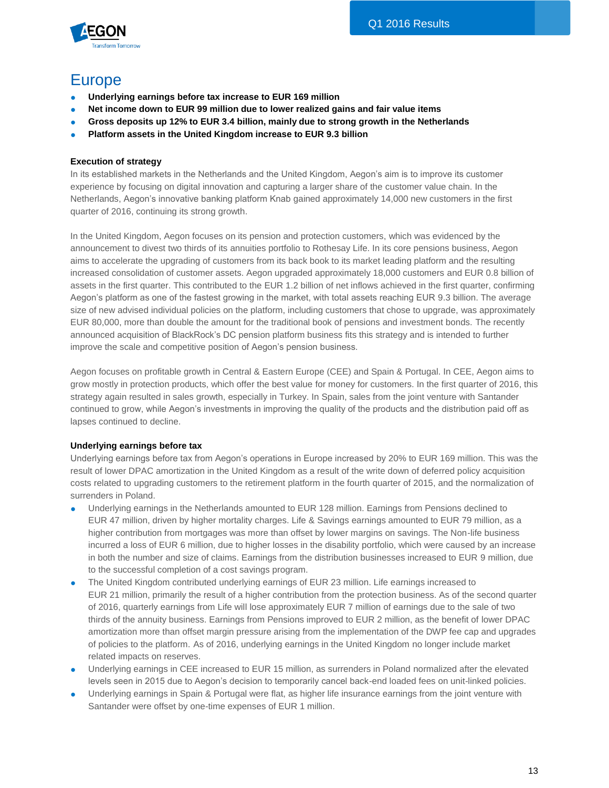

# Europe

- **Underlying earnings before tax increase to EUR 169 million**
- **Net income down to EUR 99 million due to lower realized gains and fair value items**
- **Gross deposits up 12% to EUR 3.4 billion, mainly due to strong growth in the Netherlands**
- **Platform assets in the United Kingdom increase to EUR 9.3 billion**

### **Execution of strategy**

In its established markets in the Netherlands and the United Kingdom, Aegon's aim is to improve its customer experience by focusing on digital innovation and capturing a larger share of the customer value chain. In the Netherlands, Aegon's innovative banking platform Knab gained approximately 14,000 new customers in the first quarter of 2016, continuing its strong growth.

In the United Kingdom, Aegon focuses on its pension and protection customers, which was evidenced by the announcement to divest two thirds of its annuities portfolio to Rothesay Life. In its core pensions business, Aegon aims to accelerate the upgrading of customers from its back book to its market leading platform and the resulting increased consolidation of customer assets. Aegon upgraded approximately 18,000 customers and EUR 0.8 billion of assets in the first quarter. This contributed to the EUR 1.2 billion of net inflows achieved in the first quarter, confirming Aegon's platform as one of the fastest growing in the market, with total assets reaching EUR 9.3 billion. The average size of new advised individual policies on the platform, including customers that chose to upgrade, was approximately EUR 80,000, more than double the amount for the traditional book of pensions and investment bonds. The recently announced acquisition of BlackRock's DC pension platform business fits this strategy and is intended to further improve the scale and competitive position of Aegon's pension business.

Aegon focuses on profitable growth in Central & Eastern Europe (CEE) and Spain & Portugal. In CEE, Aegon aims to grow mostly in protection products, which offer the best value for money for customers. In the first quarter of 2016, this strategy again resulted in sales growth, especially in Turkey. In Spain, sales from the joint venture with Santander continued to grow, while Aegon's investments in improving the quality of the products and the distribution paid off as lapses continued to decline.

### **Underlying earnings before tax**

Underlying earnings before tax from Aegon's operations in Europe increased by 20% to EUR 169 million. This was the result of lower DPAC amortization in the United Kingdom as a result of the write down of deferred policy acquisition costs related to upgrading customers to the retirement platform in the fourth quarter of 2015, and the normalization of surrenders in Poland.

- Underlying earnings in the Netherlands amounted to EUR 128 million. Earnings from Pensions declined to EUR 47 million, driven by higher mortality charges. Life & Savings earnings amounted to EUR 79 million, as a higher contribution from mortgages was more than offset by lower margins on savings. The Non-life business incurred a loss of EUR 6 million, due to higher losses in the disability portfolio, which were caused by an increase in both the number and size of claims. Earnings from the distribution businesses increased to EUR 9 million, due to the successful completion of a cost savings program.
- The United Kingdom contributed underlying earnings of EUR 23 million. Life earnings increased to EUR 21 million, primarily the result of a higher contribution from the protection business. As of the second quarter of 2016, quarterly earnings from Life will lose approximately EUR 7 million of earnings due to the sale of two thirds of the annuity business. Earnings from Pensions improved to EUR 2 million, as the benefit of lower DPAC amortization more than offset margin pressure arising from the implementation of the DWP fee cap and upgrades of policies to the platform. As of 2016, underlying earnings in the United Kingdom no longer include market related impacts on reserves.
- Underlying earnings in CEE increased to EUR 15 million, as surrenders in Poland normalized after the elevated levels seen in 2015 due to Aegon's decision to temporarily cancel back-end loaded fees on unit-linked policies.
- Underlying earnings in Spain & Portugal were flat, as higher life insurance earnings from the joint venture with Santander were offset by one-time expenses of EUR 1 million.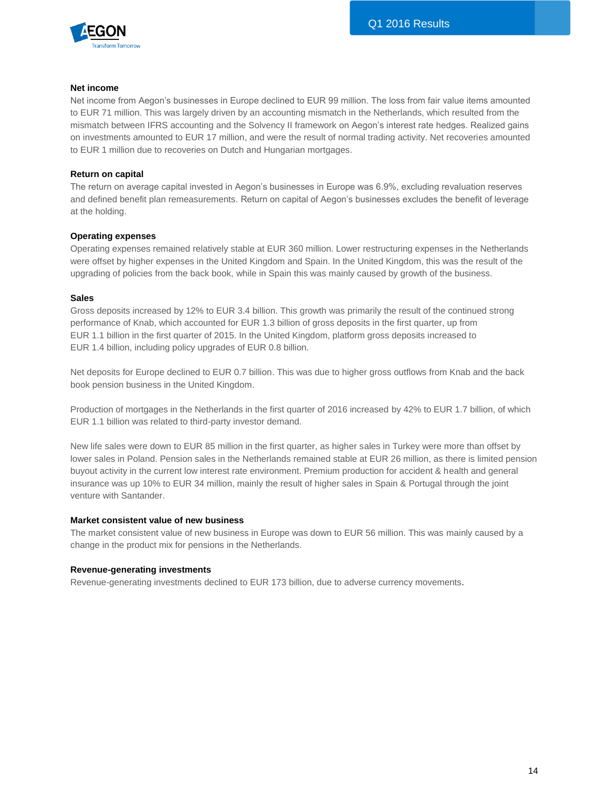

#### **Net income**

Net income from Aegon's businesses in Europe declined to EUR 99 million. The loss from fair value items amounted to EUR 71 million. This was largely driven by an accounting mismatch in the Netherlands, which resulted from the mismatch between IFRS accounting and the Solvency II framework on Aegon's interest rate hedges. Realized gains on investments amounted to EUR 17 million, and were the result of normal trading activity. Net recoveries amounted to EUR 1 million due to recoveries on Dutch and Hungarian mortgages.

#### **Return on capital**

The return on average capital invested in Aegon's businesses in Europe was 6.9%, excluding revaluation reserves and defined benefit plan remeasurements. Return on capital of Aegon's businesses excludes the benefit of leverage at the holding.

#### **Operating expenses**

Operating expenses remained relatively stable at EUR 360 million. Lower restructuring expenses in the Netherlands were offset by higher expenses in the United Kingdom and Spain. In the United Kingdom, this was the result of the upgrading of policies from the back book, while in Spain this was mainly caused by growth of the business.

#### **Sales**

Gross deposits increased by 12% to EUR 3.4 billion. This growth was primarily the result of the continued strong performance of Knab, which accounted for EUR 1.3 billion of gross deposits in the first quarter, up from EUR 1.1 billion in the first quarter of 2015. In the United Kingdom, platform gross deposits increased to EUR 1.4 billion, including policy upgrades of EUR 0.8 billion.

Net deposits for Europe declined to EUR 0.7 billion. This was due to higher gross outflows from Knab and the back book pension business in the United Kingdom.

Production of mortgages in the Netherlands in the first quarter of 2016 increased by 42% to EUR 1.7 billion, of which EUR 1.1 billion was related to third-party investor demand.

New life sales were down to EUR 85 million in the first quarter, as higher sales in Turkey were more than offset by lower sales in Poland. Pension sales in the Netherlands remained stable at EUR 26 million, as there is limited pension buyout activity in the current low interest rate environment. Premium production for accident & health and general insurance was up 10% to EUR 34 million, mainly the result of higher sales in Spain & Portugal through the joint venture with Santander.

#### **Market consistent value of new business**

The market consistent value of new business in Europe was down to EUR 56 million. This was mainly caused by a change in the product mix for pensions in the Netherlands.

#### **Revenue-generating investments**

Revenue-generating investments declined to EUR 173 billion, due to adverse currency movements.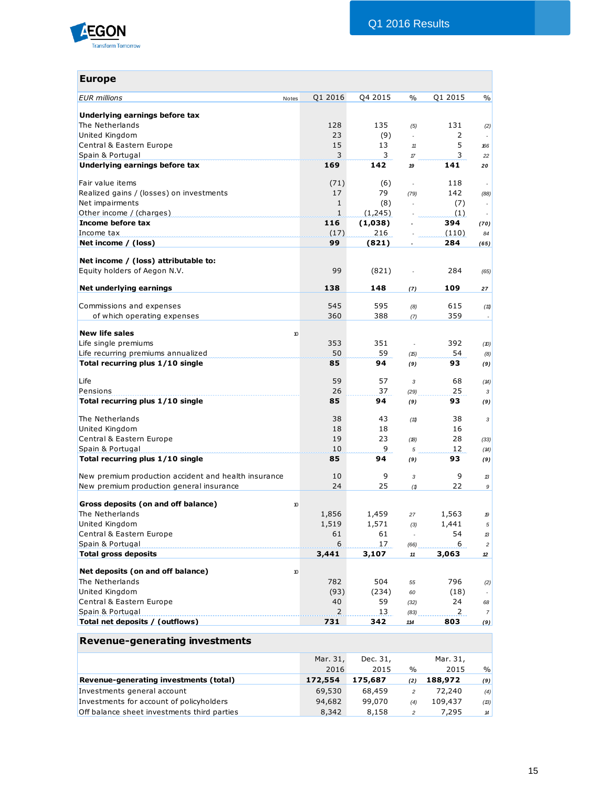

| <b>Europe</b>                                                          |                |          |                          |                |                          |
|------------------------------------------------------------------------|----------------|----------|--------------------------|----------------|--------------------------|
| <b>EUR</b> millions<br>Notes                                           | Q1 2016        | Q4 2015  | $\%$                     | Q1 2015        | %                        |
|                                                                        |                |          |                          |                |                          |
| Underlying earnings before tax                                         |                |          |                          |                |                          |
| The Netherlands                                                        | 128            | 135      | (5)                      | 131            | (2)                      |
| United Kingdom                                                         | 23             | (9)      | ÷.                       | 2              |                          |
| Central & Eastern Europe                                               | 15             | 13       | 11                       | 5              | 166                      |
| Spain & Portugal<br>Underlying earnings before tax                     | 3<br>169       | 3<br>142 | $\pi$<br>19              | 3<br>141       | 22<br>20                 |
|                                                                        |                |          |                          |                |                          |
| Fair value items                                                       | (71)           | (6)      | ÷.                       | 118            |                          |
| Realized gains / (losses) on investments                               | 17             | 79       | (79)                     | 142            | (88)                     |
| Net impairments                                                        | $\mathbf{1}$   | (8)      | ×.                       | (7)            | $\overline{\phantom{a}}$ |
| Other income / (charges)                                               | $\mathbf{1}$   | (1,245)  |                          | (1)            | $\overline{\phantom{a}}$ |
| Income before tax                                                      | 116            | (1,038)  |                          | 394            | (70)                     |
| Income tax                                                             | (17)           | 216      |                          | (110)          | 84                       |
| Net income / (loss)                                                    | 99             | (821)    |                          | 284            | (65)                     |
| Net income / (loss) attributable to:                                   |                |          |                          |                |                          |
| Equity holders of Aegon N.V.                                           | 99             | (821)    |                          | 284            | (65)                     |
|                                                                        |                |          |                          |                |                          |
| Net underlying earnings                                                | 138            | 148      | (7)                      | 109            | 27                       |
| Commissions and expenses                                               | 545            | 595      | (8)                      | 615            | (11)                     |
| of which operating expenses                                            | 360            | 388      | (7)                      | 359            | $\overline{\phantom{a}}$ |
|                                                                        |                |          |                          |                |                          |
| <b>New life sales</b><br>10                                            |                |          |                          |                |                          |
| Life single premiums                                                   | 353            | 351      | $\bar{z}$                | 392            | (10)                     |
| Life recurring premiums annualized<br>Total recurring plus 1/10 single | 50<br>85       | 59<br>94 | (15)                     | 54<br>93       | (8)                      |
|                                                                        |                |          | (9)                      |                | (9)                      |
| Life                                                                   | 59             | 57       | 3                        | 68             | (14)                     |
| Pensions                                                               | 26             | 37       | (29)                     | 25             | 3 <sup>1</sup>           |
| Total recurring plus 1/10 single                                       | 85             | 94       | (9)                      | 93             | (9)                      |
| The Netherlands                                                        | 38             | 43       | (11)                     | 38             | 3                        |
| United Kingdom                                                         | 18             | 18       |                          | 16             |                          |
| Central & Eastern Europe                                               | 19             | 23       | (18)                     | 28             | (33)                     |
| Spain & Portugal                                                       | 10             | 9        | 5                        | 12             | (14)                     |
| Total recurring plus 1/10 single                                       | 85             | 94       | (9)                      | 93             | (9)                      |
|                                                                        |                |          |                          |                |                          |
| New premium production accident and health insurance                   | 10             | 9        | 3                        | 9              | 13                       |
| New premium production general insurance                               | 24             | 25       | (1)                      | 22             | 9                        |
| Gross deposits (on and off balance)<br>10                              |                |          |                          |                |                          |
| The Netherlands                                                        | 1,856          | 1,459    | 27                       | 1,563          | 19                       |
| United Kingdom                                                         | 1,519          | 1,571    | (3)                      | 1,441          | 5                        |
| Central & Eastern Europe                                               | 61             | 61       | $\overline{\phantom{a}}$ | 54             | 13                       |
| Spain & Portugal                                                       | 6              | 17       | (66)                     | 6              | $\overline{a}$           |
| <b>Total gross deposits</b>                                            | 3,441          | 3,107    | 11                       | 3,063          | 12                       |
|                                                                        |                |          |                          |                |                          |
| Net deposits (on and off balance)<br>10<br>The Netherlands             | 782            | 504      | 55                       | 796            |                          |
| United Kingdom                                                         | (93)           | (234)    | 60                       | (18)           | (2)                      |
| Central & Eastern Europe                                               | 40             | 59       | (32)                     | 24             | 68                       |
| Spain & Portugal                                                       | $\overline{2}$ | 13       | (83)                     | $\overline{2}$ | 7 <sup>1</sup>           |
| Total net deposits / (outflows)                                        | 731            | 342      | 114                      | 803            | (9)                      |
|                                                                        |                |          |                          |                |                          |
| <b>Revenue-generating investments</b>                                  |                |          |                          |                |                          |
|                                                                        | Mar. 31,       | Dec. 31, |                          | Mar. 31,       |                          |
|                                                                        |                |          |                          |                |                          |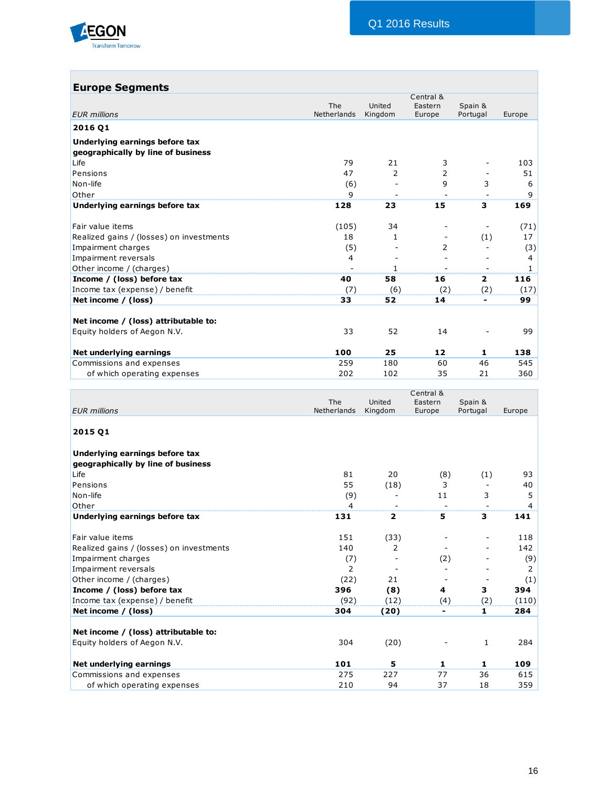

| <b>Europe Segments</b>                   |              |                        | Central &                |                               |                     |
|------------------------------------------|--------------|------------------------|--------------------------|-------------------------------|---------------------|
|                                          | The          | United                 | Eastern                  | Spain &                       |                     |
| <b>EUR</b> millions                      | Netherlands  | Kingdom                | Europe                   | Portugal                      | Europe              |
| 2016 Q1                                  |              |                        |                          |                               |                     |
| Underlying earnings before tax           |              |                        |                          |                               |                     |
| geographically by line of business       |              |                        |                          |                               |                     |
| Life                                     | 79<br>47     | 21<br>2                | 3<br>2                   |                               | 103                 |
| Pensions<br>Non-life                     |              |                        | 9                        | $\overline{\phantom{a}}$<br>3 | 51<br>6             |
| Other                                    | (6)<br>9     |                        |                          |                               | 9                   |
| Underlying earnings before tax           | 128          | 23                     | 15                       | 3                             | 169                 |
|                                          |              |                        |                          |                               |                     |
| Fair value items                         | (105)        | 34                     | $\overline{\phantom{a}}$ |                               | (71)                |
| Realized gains / (losses) on investments | 18           | 1                      | $\overline{\phantom{a}}$ | (1)                           | 17                  |
| Impairment charges                       | (5)          |                        | 2                        |                               | (3)                 |
| Impairment reversals                     | 4            | $\overline{a}$         | $\overline{\phantom{a}}$ | $\blacksquare$                | 4                   |
| Other income / (charges)                 |              | $\mathbf{1}$           |                          |                               | 1                   |
| Income / (loss) before tax               | 40           | 58                     | 16                       | $\overline{2}$                | 116                 |
| Income tax (expense) / benefit           | (7)          | (6)                    | (2)                      | (2)                           | (17)                |
| Net income / (loss)                      | 33           | 52                     | 14                       | $\blacksquare$                | 99                  |
|                                          |              |                        |                          |                               |                     |
| Net income / (loss) attributable to:     |              |                        |                          |                               |                     |
| Equity holders of Aegon N.V.             | 33           | 52                     | 14                       |                               | 99                  |
| Net underlying earnings                  | 100          | 25                     | 12                       | 1                             | 138                 |
| Commissions and expenses                 | 259          | 180                    | 60                       | 46                            | 545                 |
| of which operating expenses              | 202          | 102                    | 35                       | 21                            | 360                 |
|                                          |              |                        |                          |                               |                     |
|                                          | The          | United                 | Central &<br>Eastern     | Spain &                       |                     |
| <b>EUR</b> millions                      | Netherlands  | Kingdom                | Europe                   | Portugal                      | Europe              |
|                                          |              |                        |                          |                               |                     |
| 2015 Q1                                  |              |                        |                          |                               |                     |
|                                          |              |                        |                          |                               |                     |
| Underlying earnings before tax           |              |                        |                          |                               |                     |
| geographically by line of business       |              |                        |                          |                               |                     |
| Life                                     | 81           | 20                     | (8)                      | (1)                           | 93                  |
| Pensions                                 | 55           | (18)<br>$\overline{a}$ | 3                        | $\blacksquare$                | 40                  |
| Non-life                                 | (9)<br>4     |                        | 11<br>$\blacksquare$     | 3<br>$\blacksquare$           | 5<br>$\overline{4}$ |
| Other                                    | 131          | $\mathbf 2$            | 5                        |                               | 141                 |
| Underlying earnings before tax           |              |                        |                          | 3                             |                     |
| Fair value items                         | 151          | (33)                   |                          |                               | 118                 |
| Realized gains / (losses) on investments | 140          | 2                      |                          |                               | 142                 |
| Impairment charges                       | (7)          |                        | (2)                      |                               | (9)                 |
| Impairment reversals                     | $\mathbf{2}$ |                        |                          |                               | 2                   |
| Other income / (charges)                 | (22)         | 21                     | $\overline{\phantom{a}}$ |                               | (1)                 |
| Income / (loss) before tax               | 396          | (8)                    | 4                        | 3                             | 394                 |
| Income tax (expense) / benefit           | (92)         | (12)                   | (4)                      | (2)                           | (110)               |
| Net income / (loss)                      | 304          | (20)                   | Ξ.                       | $\mathbf{1}$                  | 284                 |
|                                          |              |                        |                          |                               |                     |

# **Net income / (loss) attributable to:** Equity holders of Aegon N.V. 304 (20) - 1 284

| Net income / (loss) attributable to: |     |      |                          |    |     |
|--------------------------------------|-----|------|--------------------------|----|-----|
| Equity holders of Aegon N.V.         | 304 | (20) | $\overline{\phantom{a}}$ |    | 284 |
| Net underlying earnings              | 101 |      |                          |    | 109 |
| Commissions and expenses             | 275 | 227  | 77                       | 36 | 615 |
| of which operating expenses          | 210 | 94   | 37                       | 18 | 359 |
|                                      |     |      |                          |    |     |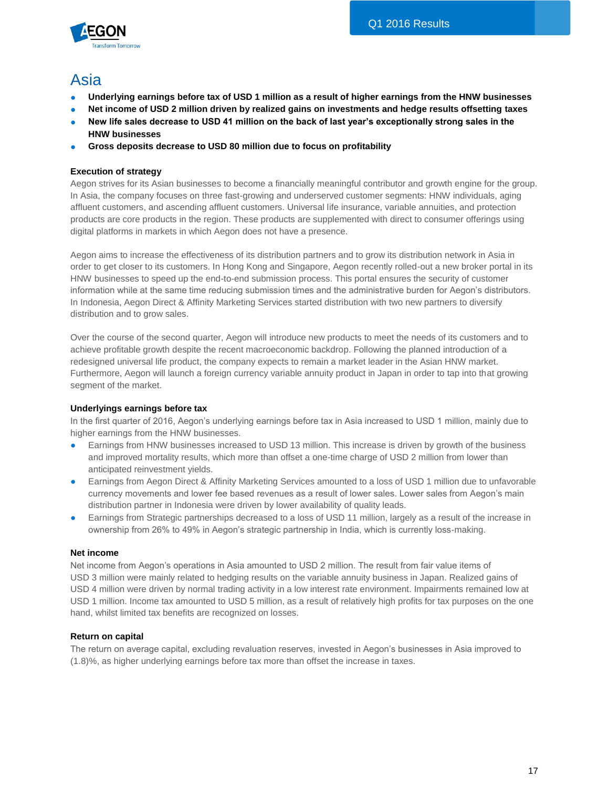

# Asia

- **Underlying earnings before tax of USD 1 million as a result of higher earnings from the HNW businesses**
- Net income of USD 2 million driven by realized gains on investments and hedge results offsetting taxes
- New life sales decrease to USD 41 million on the back of last year's exceptionally strong sales in the **HNW businesses**
- **Gross deposits decrease to USD 80 million due to focus on profitability**

### **Execution of strategy**

Aegon strives for its Asian businesses to become a financially meaningful contributor and growth engine for the group. In Asia, the company focuses on three fast-growing and underserved customer segments: HNW individuals, aging affluent customers, and ascending affluent customers. Universal life insurance, variable annuities, and protection products are core products in the region. These products are supplemented with direct to consumer offerings using digital platforms in markets in which Aegon does not have a presence.

Aegon aims to increase the effectiveness of its distribution partners and to grow its distribution network in Asia in order to get closer to its customers. In Hong Kong and Singapore, Aegon recently rolled-out a new broker portal in its HNW businesses to speed up the end-to-end submission process. This portal ensures the security of customer information while at the same time reducing submission times and the administrative burden for Aegon's distributors. In Indonesia, Aegon Direct & Affinity Marketing Services started distribution with two new partners to diversify distribution and to grow sales.

Over the course of the second quarter, Aegon will introduce new products to meet the needs of its customers and to achieve profitable growth despite the recent macroeconomic backdrop. Following the planned introduction of a redesigned universal life product, the company expects to remain a market leader in the Asian HNW market. Furthermore, Aegon will launch a foreign currency variable annuity product in Japan in order to tap into that growing segment of the market.

### **Underlyings earnings before tax**

In the first quarter of 2016, Aegon's underlying earnings before tax in Asia increased to USD 1 million, mainly due to higher earnings from the HNW businesses.

- Earnings from HNW businesses increased to USD 13 million. This increase is driven by growth of the business and improved mortality results, which more than offset a one-time charge of USD 2 million from lower than anticipated reinvestment yields.
- Earnings from Aegon Direct & Affinity Marketing Services amounted to a loss of USD 1 million due to unfavorable currency movements and lower fee based revenues as a result of lower sales. Lower sales from Aegon's main distribution partner in Indonesia were driven by lower availability of quality leads.
- Earnings from Strategic partnerships decreased to a loss of USD 11 million, largely as a result of the increase in ownership from 26% to 49% in Aegon's strategic partnership in India, which is currently loss-making.

### **Net income**

Net income from Aegon's operations in Asia amounted to USD 2 million. The result from fair value items of USD 3 million were mainly related to hedging results on the variable annuity business in Japan. Realized gains of USD 4 million were driven by normal trading activity in a low interest rate environment. Impairments remained low at USD 1 million. Income tax amounted to USD 5 million, as a result of relatively high profits for tax purposes on the one hand, whilst limited tax benefits are recognized on losses.

### **Return on capital**

The return on average capital, excluding revaluation reserves, invested in Aegon's businesses in Asia improved to (1.8)%, as higher underlying earnings before tax more than offset the increase in taxes.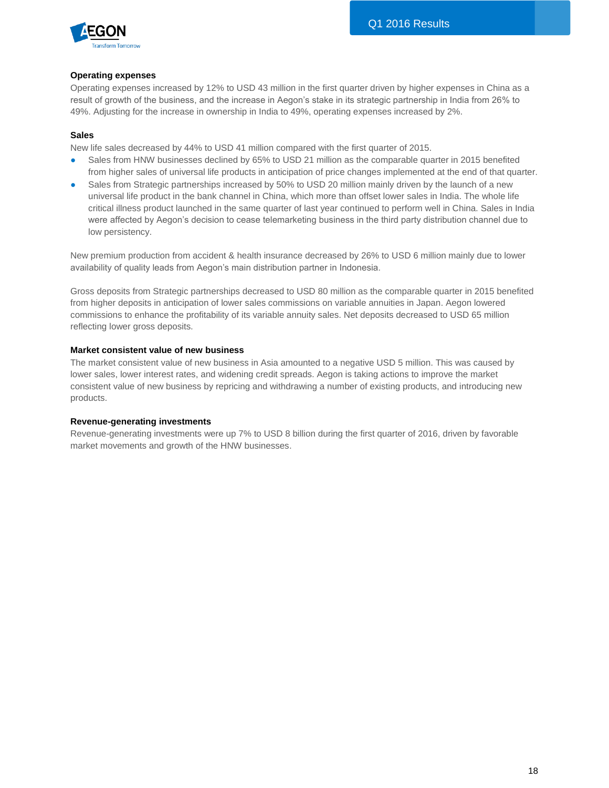

#### **Operating expenses**

Operating expenses increased by 12% to USD 43 million in the first quarter driven by higher expenses in China as a result of growth of the business, and the increase in Aegon's stake in its strategic partnership in India from 26% to 49%. Adjusting for the increase in ownership in India to 49%, operating expenses increased by 2%.

#### **Sales**

New life sales decreased by 44% to USD 41 million compared with the first quarter of 2015.

- Sales from HNW businesses declined by 65% to USD 21 million as the comparable quarter in 2015 benefited from higher sales of universal life products in anticipation of price changes implemented at the end of that quarter.
- Sales from Strategic partnerships increased by 50% to USD 20 million mainly driven by the launch of a new universal life product in the bank channel in China, which more than offset lower sales in India. The whole life critical illness product launched in the same quarter of last year continued to perform well in China. Sales in India were affected by Aegon's decision to cease telemarketing business in the third party distribution channel due to low persistency.

New premium production from accident & health insurance decreased by 26% to USD 6 million mainly due to lower availability of quality leads from Aegon's main distribution partner in Indonesia.

Gross deposits from Strategic partnerships decreased to USD 80 million as the comparable quarter in 2015 benefited from higher deposits in anticipation of lower sales commissions on variable annuities in Japan. Aegon lowered commissions to enhance the profitability of its variable annuity sales. Net deposits decreased to USD 65 million reflecting lower gross deposits.

#### **Market consistent value of new business**

The market consistent value of new business in Asia amounted to a negative USD 5 million. This was caused by lower sales, lower interest rates, and widening credit spreads. Aegon is taking actions to improve the market consistent value of new business by repricing and withdrawing a number of existing products, and introducing new products.

#### **Revenue-generating investments**

Revenue-generating investments were up 7% to USD 8 billion during the first quarter of 2016, driven by favorable market movements and growth of the HNW businesses.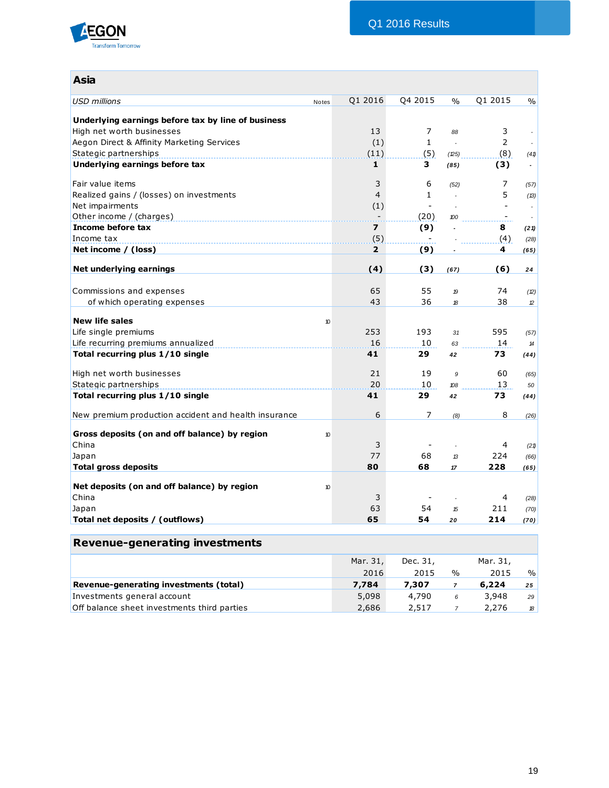

| <b>Asia</b>                                                                     |                          |                          |               |                          |                               |
|---------------------------------------------------------------------------------|--------------------------|--------------------------|---------------|--------------------------|-------------------------------|
| <b>USD millions</b><br>Notes                                                    | Q1 2016                  | Q4 2015                  | $\frac{0}{0}$ | Q1 2015                  | $\frac{0}{0}$                 |
|                                                                                 |                          |                          |               |                          |                               |
| Underlying earnings before tax by line of business<br>High net worth businesses | 13                       | 7                        |               |                          |                               |
|                                                                                 |                          | $\mathbf{1}$             | 88<br>L.      | 3<br>$\overline{2}$      |                               |
| Aegon Direct & Affinity Marketing Services<br>Stategic partnerships             | (1)<br>(11)              | (5)                      | (25)          | (8)                      |                               |
| Underlying earnings before tax                                                  | $\mathbf{1}$             | 3                        | (85)          | (3)                      | (41)<br>$\tilde{\phantom{a}}$ |
|                                                                                 |                          |                          |               |                          |                               |
| Fair value items                                                                | 3                        | 6                        | (52)          | 7                        | (57)                          |
| Realized gains / (losses) on investments                                        | $\overline{4}$           | $\mathbf{1}$             |               | 5                        | (B)                           |
| Net impairments                                                                 | (1)                      | $\overline{\phantom{a}}$ |               |                          |                               |
| Other income / (charges)                                                        | $\overline{\phantom{a}}$ | (20)                     | 100           | $\overline{\phantom{a}}$ |                               |
| Income before tax                                                               | 7                        | (9)                      |               | 8                        | (21)                          |
| Income tax                                                                      | (5)                      |                          |               | (4)                      | (28)                          |
| Net income $/$ (loss)                                                           | $\mathbf{2}$             | (9)                      |               | 4                        | (65)                          |
| Net underlying earnings                                                         | (4)                      | (3)                      | (67)          | (6)                      | 24                            |
|                                                                                 |                          |                          |               |                          |                               |
| Commissions and expenses                                                        | 65                       | 55                       | 19            | 74                       | (2)                           |
| of which operating expenses                                                     | 43                       | 36                       | 18            | 38                       | $\mathcal{D}$                 |
|                                                                                 |                          |                          |               |                          |                               |
| <b>New life sales</b><br>10                                                     |                          |                          |               |                          |                               |
| Life single premiums                                                            | 253                      | 193                      | 31            | 595                      | (57)                          |
| Life recurring premiums annualized                                              | 16                       | 10                       | 63            | 14                       | $\boldsymbol{\mathcal{H}}$    |
| Total recurring plus 1/10 single                                                | 41                       | 29                       | 42            | 73                       | (44)                          |
| High net worth businesses                                                       | 21                       | 19                       | 9             | 60                       | (65)                          |
| Stategic partnerships                                                           | 20                       | 10                       | 108           | 13                       | 50                            |
| Total recurring plus 1/10 single                                                | 41                       | 29                       | 42            | 73                       | (44)                          |
|                                                                                 |                          | 7                        |               | 8                        |                               |
| New premium production accident and health insurance                            | 6                        |                          | (8)           |                          | (26)                          |
| Gross deposits (on and off balance) by region<br>10                             |                          |                          |               |                          |                               |
| China                                                                           | 3                        |                          |               | 4                        | (21)                          |
| Japan                                                                           | 77                       | 68                       | 13            | 224                      | (66)                          |
| <b>Total gross deposits</b>                                                     | 80                       | 68                       | 17            | 228                      | (65)                          |
|                                                                                 |                          |                          |               |                          |                               |
| Net deposits (on and off balance) by region<br>10                               |                          |                          |               |                          |                               |
| China                                                                           | 3                        |                          |               | 4                        | (28)                          |
| Japan                                                                           | 63                       | 54                       | 15            | 211                      | (70)                          |
| Total net deposits / (outflows)                                                 | 65                       | 54                       | 20            | 214                      | (70)                          |
| <b>Revenue-generating investments</b>                                           |                          |                          |               |                          |                               |

|                                             | Mar. 31, | Dec. 31, |               |       |               |
|---------------------------------------------|----------|----------|---------------|-------|---------------|
|                                             | 2016     | 2015     | $\frac{0}{0}$ | 2015  | $\frac{9}{6}$ |
| Revenue-generating investments (total)      | 7.784    | 7,307    |               | 6,224 | 25            |
| Investments general account                 | 5,098    | 4,790    | 6             | 3,948 | 29            |
| Off balance sheet investments third parties | 2.686    | 2,517    |               | 2,276 | $\mathcal{B}$ |

19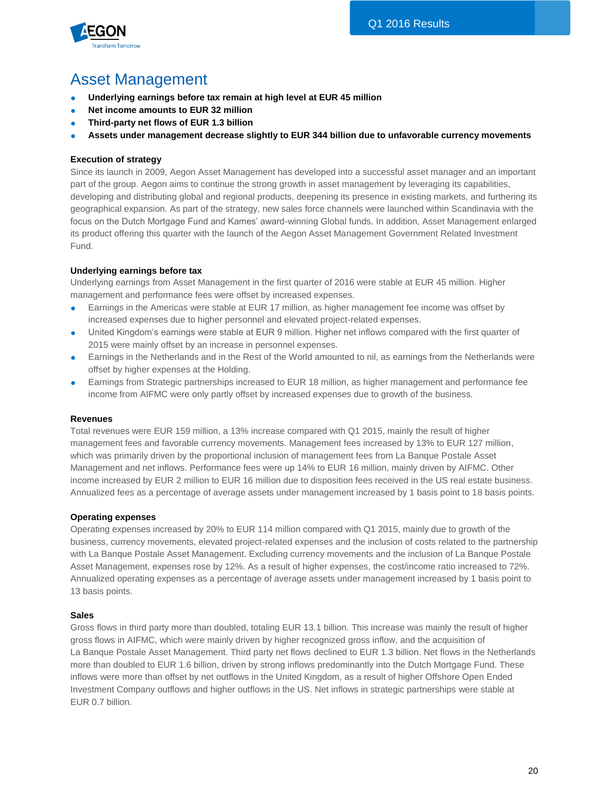

# Asset Management

- **Underlying earnings before tax remain at high level at EUR 45 million**
- **Net income amounts to EUR 32 million**
- **Third-party net flows of EUR 1.3 billion**
- **Assets under management decrease slightly to EUR 344 billion due to unfavorable currency movements**

## **Execution of strategy**

Since its launch in 2009, Aegon Asset Management has developed into a successful asset manager and an important part of the group. Aegon aims to continue the strong growth in asset management by leveraging its capabilities, developing and distributing global and regional products, deepening its presence in existing markets, and furthering its geographical expansion. As part of the strategy, new sales force channels were launched within Scandinavia with the focus on the Dutch Mortgage Fund and Kames' award-winning Global funds. In addition, Asset Management enlarged its product offering this quarter with the launch of the Aegon Asset Management Government Related Investment Fund.

## **Underlying earnings before tax**

Underlying earnings from Asset Management in the first quarter of 2016 were stable at EUR 45 million. Higher management and performance fees were offset by increased expenses.

- Earnings in the Americas were stable at EUR 17 million, as higher management fee income was offset by increased expenses due to higher personnel and elevated project-related expenses.
- United Kingdom's earnings were stable at EUR 9 million. Higher net inflows compared with the first quarter of 2015 were mainly offset by an increase in personnel expenses.
- Earnings in the Netherlands and in the Rest of the World amounted to nil, as earnings from the Netherlands were offset by higher expenses at the Holding.
- Earnings from Strategic partnerships increased to EUR 18 million, as higher management and performance fee income from AIFMC were only partly offset by increased expenses due to growth of the business.

### **Revenues**

Total revenues were EUR 159 million, a 13% increase compared with Q1 2015, mainly the result of higher management fees and favorable currency movements. Management fees increased by 13% to EUR 127 million, which was primarily driven by the proportional inclusion of management fees from La Banque Postale Asset Management and net inflows. Performance fees were up 14% to EUR 16 million, mainly driven by AIFMC. Other income increased by EUR 2 million to EUR 16 million due to disposition fees received in the US real estate business. Annualized fees as a percentage of average assets under management increased by 1 basis point to 18 basis points.

### **Operating expenses**

Operating expenses increased by 20% to EUR 114 million compared with Q1 2015, mainly due to growth of the business, currency movements, elevated project-related expenses and the inclusion of costs related to the partnership with La Banque Postale Asset Management. Excluding currency movements and the inclusion of La Banque Postale Asset Management, expenses rose by 12%. As a result of higher expenses, the cost/income ratio increased to 72%. Annualized operating expenses as a percentage of average assets under management increased by 1 basis point to 13 basis points.

#### **Sales**

Gross flows in third party more than doubled, totaling EUR 13.1 billion. This increase was mainly the result of higher gross flows in AIFMC, which were mainly driven by higher recognized gross inflow, and the acquisition of La Banque Postale Asset Management. Third party net flows declined to EUR 1.3 billion. Net flows in the Netherlands more than doubled to EUR 1.6 billion, driven by strong inflows predominantly into the Dutch Mortgage Fund. These inflows were more than offset by net outflows in the United Kingdom, as a result of higher Offshore Open Ended Investment Company outflows and higher outflows in the US. Net inflows in strategic partnerships were stable at EUR 0.7 billion.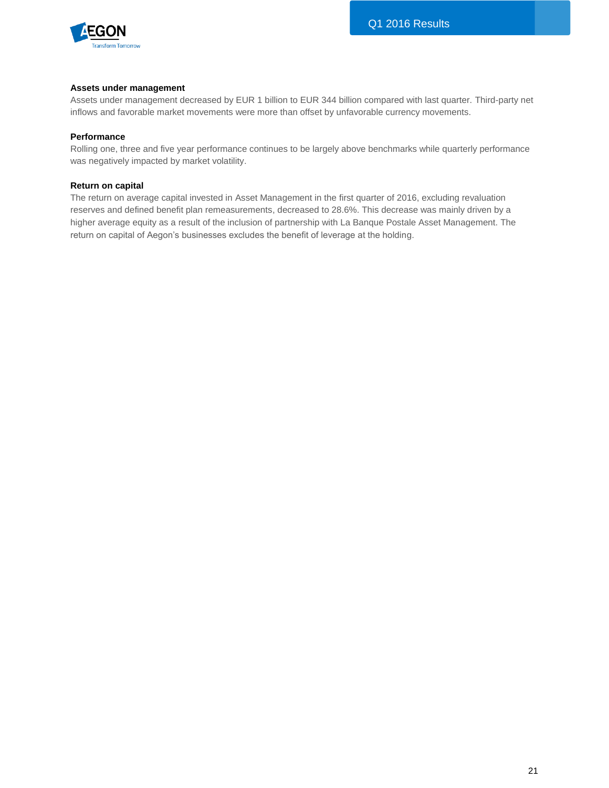

#### **Assets under management**

Assets under management decreased by EUR 1 billion to EUR 344 billion compared with last quarter. Third-party net inflows and favorable market movements were more than offset by unfavorable currency movements.

#### **Performance**

Rolling one, three and five year performance continues to be largely above benchmarks while quarterly performance was negatively impacted by market volatility.

#### **Return on capital**

The return on average capital invested in Asset Management in the first quarter of 2016, excluding revaluation reserves and defined benefit plan remeasurements, decreased to 28.6%. This decrease was mainly driven by a higher average equity as a result of the inclusion of partnership with La Banque Postale Asset Management. The return on capital of Aegon's businesses excludes the benefit of leverage at the holding.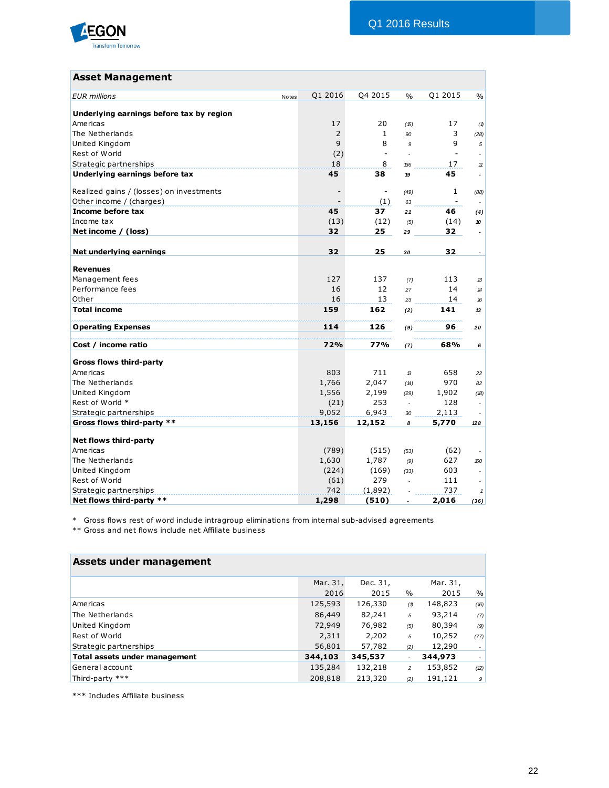

# **Asset Management**

| <b>EUR</b> millions<br>Notes             | Q1 2016                  | Q4 2015                      | $\frac{0}{0}$  | Q1 2015        | $\%$                       |
|------------------------------------------|--------------------------|------------------------------|----------------|----------------|----------------------------|
| Underlying earnings before tax by region |                          |                              |                |                |                            |
| Americas                                 | 17                       | 20                           | (15)           | 17             | (1)                        |
| The Netherlands                          | 2                        | $\mathbf{1}$                 | 90             | 3              | (28)                       |
| <b>United Kingdom</b>                    | 9                        | 8                            | 9              | 9              | 5                          |
| Rest of World                            | (2)                      | $\overline{\phantom{m}}$     |                | $\blacksquare$ |                            |
| Strategic partnerships                   | 18                       | 8                            | 136            | 17             | 11                         |
| Underlying earnings before tax           | 45                       | 38                           | 19             | 45             | $\overline{\phantom{a}}$   |
|                                          |                          |                              |                |                |                            |
| Realized gains / (losses) on investments | $\overline{\phantom{a}}$ | $\qquad \qquad \blacksquare$ | (49)           | 1              | (88)                       |
| Other income / (charges)                 |                          | (1)                          | 63             | ÷.             |                            |
| Income before tax                        | 45                       | 37                           | 21             | 46             | (4)                        |
| Income tax                               | (13)                     | (12)                         | (5)            | (14)           | 10                         |
| Net income / (loss)                      | 32                       | 25                           | 29             | 32             | $\tilde{\phantom{a}}$      |
|                                          |                          |                              |                |                |                            |
| Net underlying earnings                  | 32                       | 25                           | 30             | 32             |                            |
|                                          |                          |                              |                |                |                            |
| <b>Revenues</b>                          |                          |                              |                |                |                            |
| Management fees                          | 127                      | 137                          | (7)            | 113            | 13                         |
| Performance fees                         | 16                       | 12                           | 27             | 14             | $\boldsymbol{\mathcal{H}}$ |
| Other                                    | 16                       | 13                           | 23             | 14             | 16                         |
| <b>Total income</b>                      | 159                      | 162                          | (2)            | 141            | 13                         |
| <b>Operating Expenses</b>                | 114                      | 126                          | (9)            | 96             | 20                         |
| Cost / income ratio                      | 72%                      | 77%                          | (7)            | 68%            | 6                          |
| <b>Gross flows third-party</b>           |                          |                              |                |                |                            |
| Americas                                 | 803                      | 711                          | 13             | 658            | 22                         |
| The Netherlands                          | 1,766                    | 2,047                        | (14)           | 970            | 82                         |
| United Kingdom                           | 1,556                    | 2,199                        | (29)           | 1,902          | (18)                       |
| Rest of World *                          | (21)                     | 253                          | $\mathbb{Z}^2$ | 128            |                            |
| Strategic partnerships                   | 9,052                    | 6,943                        | 30             | 2,113          |                            |
| Gross flows third-party **               | 13,156                   | 12,152                       | 8              | 5,770          | 128                        |
|                                          |                          |                              |                |                |                            |
| Net flows third-party                    |                          |                              |                |                |                            |
| Americas                                 | (789)                    | (515)                        | (53)           | (62)           |                            |
| The Netherlands                          | 1,630                    | 1,787                        | (9)            | 627            | 160                        |
| United Kingdom                           | (224)                    | (169)                        | (33)           | 603            |                            |
| Rest of World                            | (61)                     | 279                          | $\mathbf{r}$   | 111            |                            |
| Strategic partnerships                   | 742                      | (1,892)                      |                | 737            | $\mathbf{1}$               |
| Net flows third-party **                 | 1,298                    | (510)                        |                | 2,016          | (36)                       |

\* Gross flows rest of word include intragroup eliminations from internal sub-advised agreements

\*\* Gross and net flows include net Affiliate business

| Assets under management       |          |          |                |          |                |
|-------------------------------|----------|----------|----------------|----------|----------------|
|                               | Mar. 31, | Dec. 31, |                | Mar. 31, |                |
|                               | 2016     | 2015     | $\frac{0}{0}$  | 2015     | %              |
| Americas                      | 125,593  | 126,330  | (1)            | 148,823  | (16)           |
| The Netherlands               | 86,449   | 82,241   | 5              | 93,214   | (7)            |
| United Kingdom                | 72,949   | 76,982   | (5)            | 80,394   | (9)            |
| Rest of World                 | 2,311    | 2,202    | 5              | 10,252   | (77)           |
| Strategic partnerships        | 56,801   | 57,782   | (2)            | 12,290   | $\overline{a}$ |
| Total assets under management | 344,103  | 345,537  | ٠              | 344,973  | $\sim$         |
| General account               | 135,284  | 132,218  | $\overline{a}$ | 153,852  | (2)            |
| Third-party ***               | 208,818  | 213,320  | (2)            | 191,121  | 9              |

\*\*\* Includes Affiliate business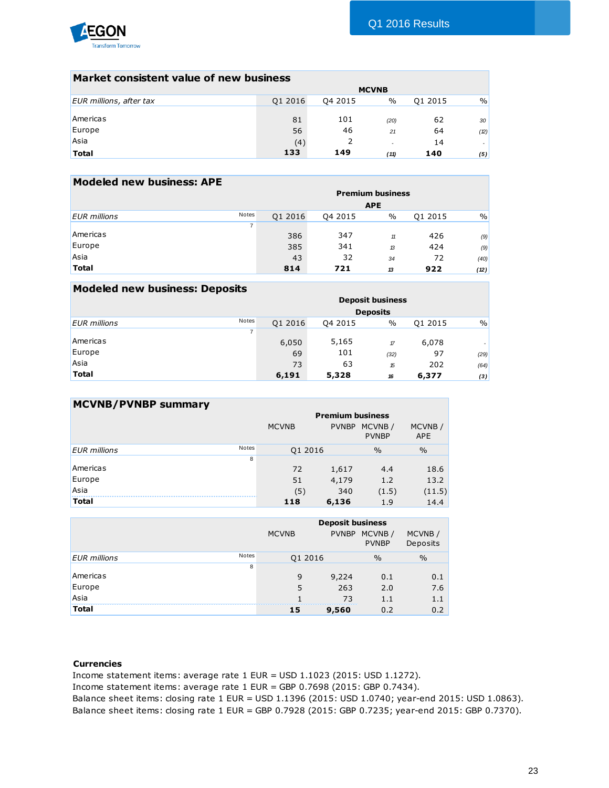

| Market consistent value of new business |         |         |              |         |      |
|-----------------------------------------|---------|---------|--------------|---------|------|
|                                         |         |         | <b>MCVNB</b> |         |      |
| EUR millions, after tax                 | Q1 2016 | Q4 2015 | $\%$         | Q1 2015 | $\%$ |
|                                         |         |         |              |         |      |
| Americas                                | 81      | 101     | (20)         | 62      | 30   |
| Europe                                  | 56      | 46      | 21           | 64      | (2)  |
| Asia                                    | (4)     | 2       | $\sim$       | 14      | ٠    |
| <b>Total</b>                            | 133     | 149     | (11)         | 140     | (5)  |

| <b>Modeled new business: APE</b> |                |         |         |                         |         |      |
|----------------------------------|----------------|---------|---------|-------------------------|---------|------|
|                                  |                |         |         | <b>Premium business</b> |         |      |
|                                  |                |         |         | <b>APE</b>              |         |      |
| <b>EUR</b> millions              | <b>Notes</b>   | Q1 2016 | Q4 2015 | $\%$                    | Q1 2015 | $\%$ |
|                                  | $\overline{7}$ |         |         |                         |         |      |
| Americas                         |                | 386     | 347     | 11                      | 426     | (9)  |
| Europe                           |                | 385     | 341     | 13                      | 424     | (9)  |
| Asia                             |                | 43      | 32      | 34                      | 72      | (40) |
| <b>Total</b>                     |                | 814     | 721     | 13                      | 922     | (12) |

| <b>Modeled new business: Deposits</b> |                |         |         |                         |         |               |
|---------------------------------------|----------------|---------|---------|-------------------------|---------|---------------|
|                                       |                |         |         | <b>Deposit business</b> |         |               |
|                                       |                |         |         | <b>Deposits</b>         |         |               |
| <b>EUR</b> millions                   | <b>Notes</b>   | Q1 2016 | Q4 2015 | $\%$                    | Q1 2015 | $\frac{0}{0}$ |
|                                       | $\overline{7}$ |         |         |                         |         |               |
| Americas                              |                | 6,050   | 5,165   | $\pi$                   | 6,078   | ٠             |
| Europe                                |                | 69      | 101     | (32)                    | 97      | (29)          |
| Asia                                  |                | 73      | 63      | 15                      | 202     | (64)          |
| <b>Total</b>                          |                | 6,191   | 5,328   | 16                      | 6,377   | (3)           |

| <b>MCVNB/PVNBP summary</b> |              |              |                         |                        |                      |
|----------------------------|--------------|--------------|-------------------------|------------------------|----------------------|
|                            |              |              | <b>Premium business</b> |                        |                      |
|                            |              | <b>MCVNB</b> | <b>PVNBP</b>            | MCVNB/<br><b>PVNBP</b> | MCVNB/<br><b>APE</b> |
| <b>EUR</b> millions        | <b>Notes</b> | Q1 2016      |                         | $\frac{0}{0}$          | $\frac{0}{0}$        |
|                            | 8            |              |                         |                        |                      |
| Americas                   |              | 72           | 1,617                   | 4.4                    | 18.6                 |
| Europe                     |              | 51           | 4,179                   | 1.2                    | 13.2                 |
| Asia                       |              | (5)          | 340                     | (1.5)                  | (11.5)               |
| <b>Total</b>               |              | 118          | 6,136                   | 1.9                    | 14.4                 |

|                     |       |              | <b>Deposit business</b> |                        |                    |
|---------------------|-------|--------------|-------------------------|------------------------|--------------------|
|                     |       | <b>MCVNB</b> | <b>PVNBP</b>            | MCVNB/<br><b>PVNBP</b> | MCVNB/<br>Deposits |
| <b>EUR</b> millions | Notes | Q1 2016      |                         | $\frac{0}{0}$          | $\frac{0}{0}$      |
|                     | 8     |              |                         |                        |                    |
| Americas            |       | 9            | 9,224                   | 0.1                    | 0.1                |
| Europe              |       | 5            | 263                     | 2.0                    | 7.6                |
| Asia                |       |              | 73                      | 1.1                    | 1.1                |
| <b>Total</b>        |       | 15           | 9,560                   | 0.2                    | 0.2                |

### **Currencies**

Income statement items: average rate 1 EUR = USD 1.1023 (2015: USD 1.1272).

Income statement items: average rate 1 EUR = GBP 0.7698 (2015: GBP 0.7434).

Balance sheet items: closing rate 1 EUR = USD 1.1396 (2015: USD 1.0740; year-end 2015: USD 1.0863). Balance sheet items: closing rate 1 EUR = GBP 0.7928 (2015: GBP 0.7235; year-end 2015: GBP 0.7370).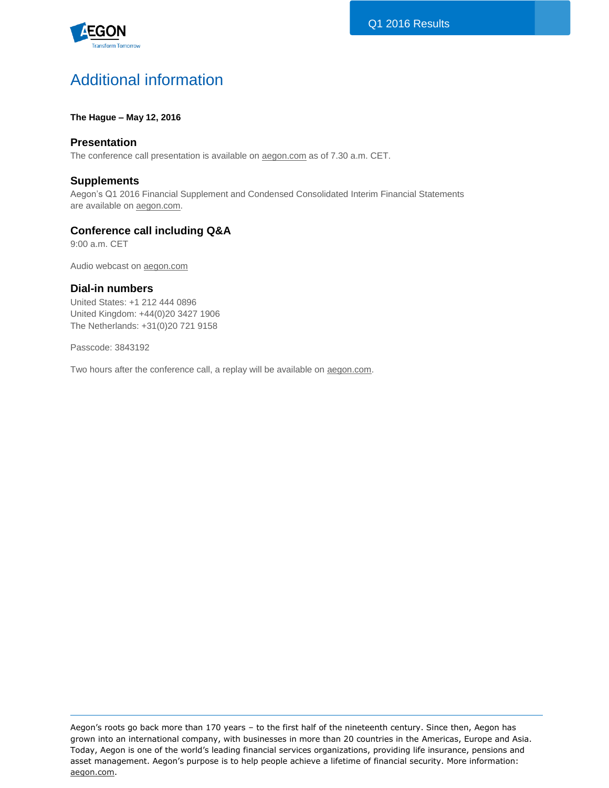

# Additional information

## **The Hague – May 12, 2016**

# **Presentation**

The conference call presentation is available on **aegon.com** as of 7.30 a.m. CET.

# **Supplements**

Aegon's Q1 2016 Financial Supplement and Condensed Consolidated Interim Financial Statements are available on [aegon.com.](http://www.aegon.com/results)

# **Conference call including Q&A**

9:00 a.m. CET

Audio webcast on [aegon.com](http://www.aegon.com/results)

## **Dial-in numbers**

United States: +1 212 444 0896 United Kingdom: +44(0)20 3427 1906 The Netherlands: +31(0)20 721 9158

Passcode: 3843192

Two hours after the conference call, a replay will be available on **aegon.com**.

Aegon's roots go back more than 170 years – to the first half of the nineteenth century. Since then, Aegon has grown into an international company, with businesses in more than 20 countries in the Americas, Europe and Asia. Today, Aegon is one of the world's leading financial services organizations, providing life insurance, pensions and asset management. Aegon's purpose is to help people achieve a lifetime of financial security. More information: [aegon.com.](http://www.aegon.com/)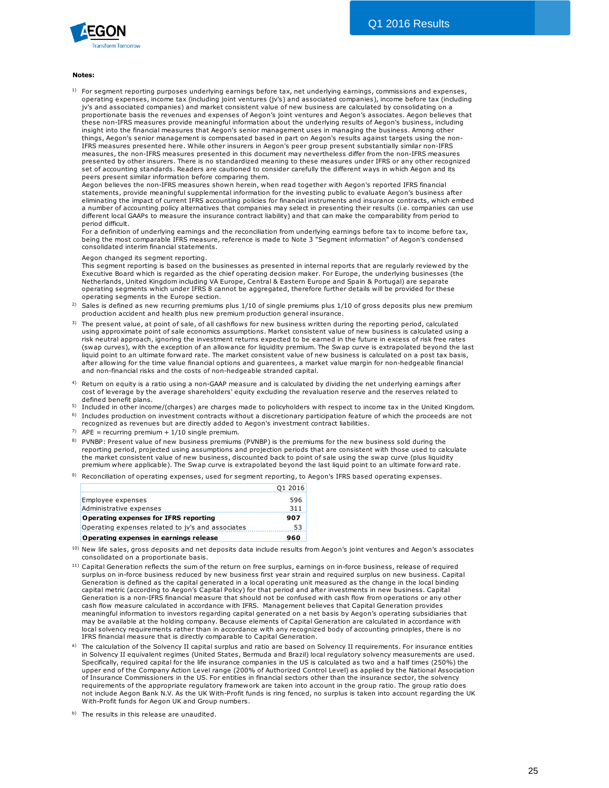

#### **Notes:**

 $1)$  For segment reporting purposes underlying earnings before tax, net underlying earnings, commissions and expenses, operating expenses, income tax (including joint ventures (jv's) and associated companies), income before tax (including tes:<br>For segment reporting purposes underlying earnings before tax, net underlying earnings, commissions and expens<br>prerating expenses, income tax (including joint ventures (jv's) and associated companies), income before t proportionate basis the revenues and expenses of Aegon's joint ventures and Aegon's associates. Aegon believes that these non-IFRS measures provide meaningful information about the underlying results of Aegon's business, including insight into the financial measures that Aegon's senior management uses in managing the business. Among other things, Aegon's senior management is compensated based in part on Aegon's results against targets using the non-IFRS measures presented here. While other insurers in Aegon's peer group present substantially similar non-IFRS measures, the non-IFRS measures presented in this document may nevertheless differ from the non-IFRS measures presented by other insurers. There is no standardized meaning to these measures under IFRS or any other recognized set of accounting standards. Readers are cautioned to consider carefully the different ways in which Aegon and its peers present similar information before comparing them.

Aegon believes the non-IFRS measures shown herein, when read together with Aegon's reported IFRS financial statements, provide meaningful supplemental information for the investing public to evaluate Aegon's business after eliminating the impact of current IFRS accounting policies for financial instruments and insurance contracts, which embed a number of accounting policy alternatives that companies may select in presenting their results (i.e. companies can use different local GAAPs to measure the insurance contract liability) and that can make the comparability from period to period difficult.

For a definition of underlying earnings and the reconciliation from underlying earnings before tax to income before tax,<br>being the most comparable IFRS measure, reference is made to Note 3 "Segment information" of Aegon's consolidated interim financial statements.

#### Aegon changed its segment reporting.

Fixecutive Board which is regarded as the chief operating decision maker. For Europe, the underlying businesses (the<br>Netherlands, United Kingdom including VA Europe, Central & Eastern Europe and Spain & Portugal) are separ This segment reporting is based on the businesses as presented in internal reports that are regularly reviewed by the Executive Board which is regarded as the chief operating decision maker. For Europe, the underlying businesses (the Netherlands, United Kingdom including VA Europe, Central & Eastern Europe and Spain & Portugal) are separate operating segments which under IFRS 8 cannot be aggregated, therefore further details will be provided for these operating segments in the Europe section.

- 2)
- 3) The present value, at point of sale, of all cashflows for new business written during the reporting period, calculated operating segments which under IFRS 8 cannot be aggregated, therefore further details will be provided for these<br>operating segments in the Europe section.<br>Sales is defined as new recurring premiums plus 1/10 of single prem risk neutral approach, ignoring the investment returns expected to be earned in the future in excess of risk free rates (swap curves), with the exception of an allowance for liquidity premium. The Swap curve is extrapolated beyond the last<br>liquid point to an ultimate forward rate. The market consistent value of new business is calculated on production detailed a the market consistent production system and ultimate.<br>The present value, at point of sale economics assumptions. Market consistent value of new business is calculated using a<br>risk neutral approach, ig after allowing for the time value financial options and guarentees, a market value margin for non-hedgeable financial and non-financial risks and the costs of non-hedgeable stranded capital.
- <sup>4)</sup> Return on equity is a ratio using a non-GAAP measure and is calculated by dividing the net underlying earnings after cost of leverage by the average shareholders' equity excluding the revaluation reserve and the reserves related to defined benefit plans.
- 5) Included in other income/(charges) are charges made to policyholders with respect to income tax in the United Kingdom.
- <sup>6)</sup> Includes production on investment contracts without a discretionary participation feature of which the proceeds are not recognized as revenues but are directly added to Aegon's investment contract liabilities. Included in other income/(charges) are charges made to policyholders with respect to income tax in the United K<br>Includes production on investment contracts without a discretionary participation feature of which the proceed
- $7)$  APE = recurring premium + 1/10 single premium.
- 8) PVNBP: Present value of new business premiums (PVNBP) is the premiums for the new business sold during the reporting period, projected using assumptions and projection periods that are consistent with those used to calculate<br>the market consistent value of new business, discounted back to point of sale using the swap curve (plus recognized as revenues but are directly added to Aegon's investment contract liabilities.<br>APE = recurring premium + 1/10 single premium.<br>PVNBP: Present value of new business premiums (PVNBP) is the premiums for the new bus
- 9) Reconciliation of operating expenses, used for segment reporting, to Aegon's IFRS based operating expenses.

|                                                   | 01 2016 |
|---------------------------------------------------|---------|
| Employee expenses                                 | 596     |
| Administrative expenses                           | 311     |
| Operating expenses for IFRS reporting             | 907     |
| Operating expenses related to jv's and associates | 53      |
| Operating expenses in earnings release            | 960     |

- 10) consolidated on a proportionate basis.
- <sup>11)</sup> Capital Generation reflects the sum of the return on free surplus, earnings on in-force business, release of required .<br>a) **Operating expenses in earnings release**<br>Surplus on the value of the value of the return on free surplus, earnings on in-force business, release of required<br>Capital Generation reflects the sum of the return on free surplus Generation is defined as the capital generated in a local operating unit measured as the change in the local binding New we sales, gives a populated on a proportionate basis.<br>Capital Generation reflects the sum of the return on free surplus, earnings on in-force business, release of required<br>Surplus on in-force business reduced by new bu surplus on in-force business reduced by new business first year strain and required surplus on new business. Capital Generation is defined as the capital generated in a local operating unit measured as the change in the lo meaningful information to investors regarding capital generated on a net basis by Aegon's operating subsidiaries that may be available at the holding company. Because elements of Capital Generation are calculated in accordance with local solvency requirements rather than in accordance with any recognized body of accounting principles, there is no IFRS financial measure that is directly comparable to Capital Generation.
- The calculation of the Solvency II capital surplus and ratio are based on Solvency II requirements. For insurance entities in Solvency II equivalent regimes (United States, Bermuda and Brazil) local regulatory solvency measurements are used. Specifically, required capital for the life insurance companies in the US is calculated as two and a half times (250%) the upper end of the Company Action Level range (200% of Authorized Control Level) as applied by the National Association of Insurance Commissioners in the US. For entities in financial sectors other than the insurance sector, the solvency requirements of the appropriate regulatory framework are taken into account in the group ratio. The group ratio does not include Aegon Bank N.V. As the UK With-Profit funds is ring fenced, no surplus is taken into account regarding the UK With-Profit funds for Aegon UK and Group numbers.
- b) The results in this release are unaudited.